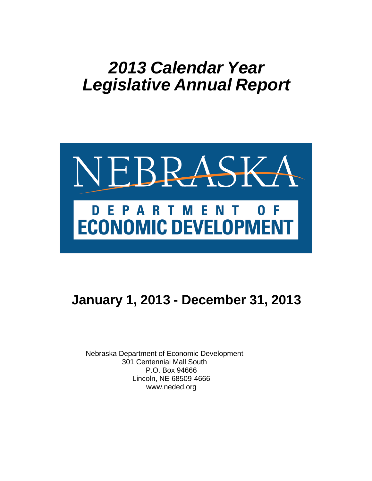# *2013 Calendar Year Legislative Annual Report*



# **January 1, 2013 - December 31, 2013**

Nebraska Department of Economic Development 301 Centennial Mall South P.O. Box 94666 Lincoln, NE 68509-4666 www.neded.org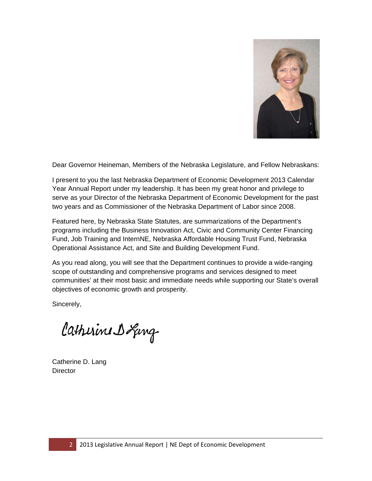

Dear Governor Heineman, Members of the Nebraska Legislature, and Fellow Nebraskans:

I present to you the last Nebraska Department of Economic Development 2013 Calendar Year Annual Report under my leadership. It has been my great honor and privilege to serve as your Director of the Nebraska Department of Economic Development for the past two years and as Commissioner of the Nebraska Department of Labor since 2008.

Featured here, by Nebraska State Statutes, are summarizations of the Department's programs including the Business Innovation Act, Civic and Community Center Financing Fund, Job Training and InternNE, Nebraska Affordable Housing Trust Fund, Nebraska Operational Assistance Act, and Site and Building Development Fund.

As you read along, you will see that the Department continues to provide a wide-ranging scope of outstanding and comprehensive programs and services designed to meet communities' at their most basic and immediate needs while supporting our State's overall objectives of economic growth and prosperity.

Sincerely,

Catherine D Ling

Catherine D. Lang **Director**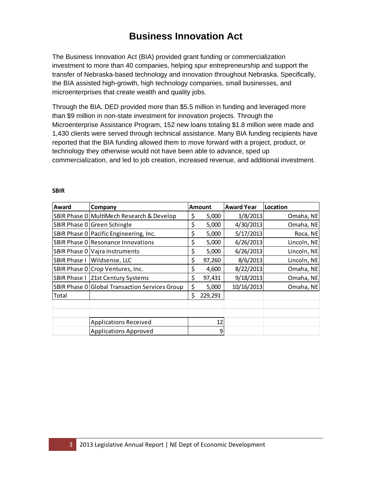### **Business Innovation Act**

The Business Innovation Act (BIA) provided grant funding or commercialization investment to more than 40 companies, helping spur entrepreneurship and support the transfer of Nebraska-based technology and innovation throughout Nebraska. Specifically, the BIA assisted high-growth, high technology companies, small businesses, and microenterprises that create wealth and quality jobs.

Through the BIA, DED provided more than \$5.5 million in funding and leveraged more than \$9 million in non-state investment for innovation projects. Through the Microenterprise Assistance Program, 152 new loans totaling \$1.8 million were made and 1,430 clients were served through technical assistance. Many BIA funding recipients have reported that the BIA funding allowed them to move forward with a project, product, or technology they otherwise would not have been able to advance, sped up commercialization, and led to job creation, increased revenue, and additional investment.

| Award               | Company                                        | <b>Amount</b>     | <b>Award Year</b> | Location    |
|---------------------|------------------------------------------------|-------------------|-------------------|-------------|
|                     | SBIR Phase 0 MultiMech Research & Develop      | \$<br>5,000       | 1/8/2013          | Omaha, NE   |
|                     | SBIR Phase 0 Green Schingle                    | \$<br>5,000       | 4/30/2013         | Omaha, NE   |
|                     | SBIR Phase 0 Pacific Engineering, Inc.         | \$<br>5,000       | 5/17/2013         | Roca, NE    |
|                     | SBIR Phase 0 Resonance Innovations             | \$<br>5,000       | 6/26/2013         | Lincoln, NE |
|                     | SBIR Phase 0   Vajra Instruments               | \$<br>5,000       | 6/26/2013         | Lincoln, NE |
| SBIR Phase I        | Wildsense, LLC                                 | \$<br>97,260      | 8/6/2013          | Lincoln, NE |
|                     | SBIR Phase 0 Crop Ventures, Inc.               | \$<br>4,600       | 8/22/2013         | Omaha, NE   |
| <b>SBIR Phase I</b> | 21st Century Systems                           | \$<br>97,431      | 9/18/2013         | Omaha, NE   |
|                     | SBIR Phase 0 Global Transaction Services Group | \$<br>5,000       | 10/16/2013        | Omaha, NE   |
| Total               |                                                | \$<br>229,291     |                   |             |
|                     |                                                |                   |                   |             |
|                     |                                                |                   |                   |             |
|                     | <b>Applications Received</b>                   | $12 \overline{ }$ |                   |             |
|                     | <b>Applications Approved</b>                   | 9                 |                   |             |

#### **SBIR**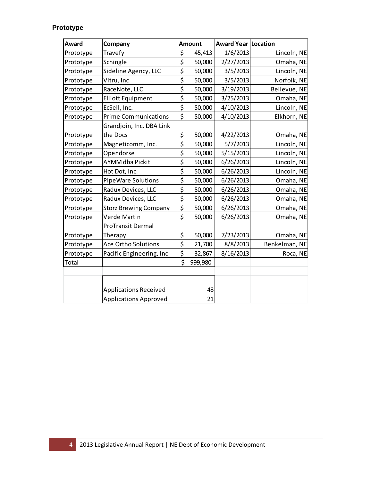### **Prototype**

| Award     | Company                      | <b>Amount</b> | <b>Award Year Location</b> |               |
|-----------|------------------------------|---------------|----------------------------|---------------|
| Prototype | Travefy                      | \$<br>45,413  | 1/6/2013                   | Lincoln, NE   |
| Prototype | Schingle                     | \$<br>50,000  | 2/27/2013                  | Omaha, NE     |
| Prototype | Sideline Agency, LLC         | \$<br>50,000  | 3/5/2013                   | Lincoln, NE   |
| Prototype | Vitru, Inc                   | \$<br>50,000  | 3/5/2013                   | Norfolk, NE   |
| Prototype | RaceNote, LLC                | \$<br>50,000  | 3/19/2013                  | Bellevue, NE  |
| Prototype | <b>Elliott Equipment</b>     | \$<br>50,000  | 3/25/2013                  | Omaha, NE     |
| Prototype | EcSell, Inc.                 | \$<br>50,000  | 4/10/2013                  | Lincoln, NE   |
| Prototype | <b>Prime Communications</b>  | \$<br>50,000  | 4/10/2013                  | Elkhorn, NE   |
|           | Grandjoin, Inc. DBA Link     |               |                            |               |
| Prototype | the Docs                     | \$<br>50,000  | 4/22/2013                  | Omaha, NE     |
| Prototype | Magneticomm, Inc.            | \$<br>50,000  | 5/7/2013                   | Lincoln, NE   |
| Prototype | Opendorse                    | \$<br>50,000  | 5/15/2013                  | Lincoln, NE   |
| Prototype | AYMM dba Pickit              | \$<br>50,000  | 6/26/2013                  | Lincoln, NE   |
| Prototype | Hot Dot, Inc.                | \$<br>50,000  | 6/26/2013                  | Lincoln, NE   |
| Prototype | PipeWare Solutions           | \$<br>50,000  | 6/26/2013                  | Omaha, NE     |
| Prototype | Radux Devices, LLC           | \$<br>50,000  | 6/26/2013                  | Omaha, NE     |
| Prototype | Radux Devices, LLC           | \$<br>50,000  | 6/26/2013                  | Omaha, NE     |
| Prototype | <b>Storz Brewing Company</b> | \$<br>50,000  | 6/26/2013                  | Omaha, NE     |
| Prototype | Verde Martin                 | \$<br>50,000  | 6/26/2013                  | Omaha, NE     |
|           | <b>ProTransit Dermal</b>     |               |                            |               |
| Prototype | Therapy                      | \$<br>50,000  | 7/23/2013                  | Omaha, NE     |
| Prototype | Ace Ortho Solutions          | \$<br>21,700  | 8/8/2013                   | Benkelman, NE |
| Prototype | Pacific Engineering, Inc     | \$<br>32,867  | 8/16/2013                  | Roca, NE      |
| Total     |                              | \$<br>999,980 |                            |               |
|           |                              |               |                            |               |
|           |                              |               |                            |               |
|           | <b>Applications Received</b> | 48            |                            |               |
|           | <b>Applications Approved</b> | 21            |                            |               |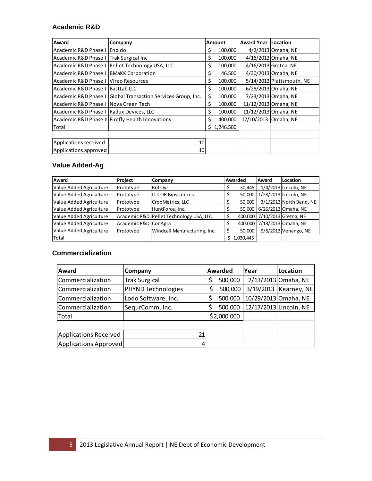#### **Academic R&D**

| Award                                   | Company                                          |     | <b>Amount</b> | <b>Award Year   Location</b> |                           |
|-----------------------------------------|--------------------------------------------------|-----|---------------|------------------------------|---------------------------|
| Academic R&D Phase I                    | <b>IEnbido</b>                                   | \$. | 100,000       |                              | 4/2/2013 Omaha, NE        |
| Academic R&D Phase I                    | <b>Trak Surgical Inc</b>                         | \$  | 100,000       |                              | 4/16/2013 Omaha, NE       |
| Academic R&D Phase I                    | Pellet Technology USA, LLC                       | \$  | 100,000       |                              | 4/16/2013 Gretna, NE      |
| Academic R&D Phase I                    | <b>BMaKK Corporation</b>                         | \$  | 46,500        |                              | 4/30/2013 Omaha, NE       |
| Academic R&D Phase I                    | <b>IVireo Resources</b>                          | \$  | 100,000       |                              | 5/14/2013 Plattsmouth, NE |
| Academic R&D Phase I                    | <b>IBastLab LLC</b>                              | \$  | 100,000       |                              | 6/28/2013 Omaha, NE       |
| Academic R&D Phase I                    | Global Transaction Services Group, Inc.          | \$  | 100,000       |                              | 7/23/2013 Omaha, NE       |
| Academic R&D Phase I Nova Green Tech    |                                                  | \$  | 100,000       |                              | 11/12/2013 Omaha, NE      |
| Academic R&D Phase I Radux Devices, LLC |                                                  | \$  | 100,000       |                              | 11/12/2013 Omaha, NE      |
|                                         | Academic R&D Phase II Firefly Health Innovations | Ś.  | 400,000       | 12/10/2013 Omaha, NE         |                           |
| Total                                   |                                                  |     | \$1,246,500   |                              |                           |
|                                         |                                                  |     |               |                              |                           |
| Applications received                   | 10                                               |     |               |                              |                           |
| Applications approved                   | 10 <sup>1</sup>                                  |     |               |                              |                           |

#### **Value Added-Ag**

| <b>Award</b>            | Project              | Company                                 | Awarded |           | lAward | Location                     |
|-------------------------|----------------------|-----------------------------------------|---------|-----------|--------|------------------------------|
| Value Added Agriculture | Prototype            | Rol Oyl                                 |         | 30,445    |        | 1/4/2013 Lincoln, NE         |
| Value Added Agriculture | Prototype            | LI-COR Biosciences                      |         | 50,000    |        | 1/28/2013 Lincoln, NE        |
| Value Added Agriculture | Prototype            | CropMetrics, LLC                        |         | 50,000    |        | 3/1/2013 North Bend, NE      |
| Value Added Agriculture | Prototype            | HuntForce, Inc.                         |         | 50,000    |        | 6/26/2013 Omaha, NE          |
| Value Added Agriculture |                      | Academic R&D Pellet Technology USA, LLC |         |           |        | 400,000 7/10/2013 Gretna, NE |
| Value Added Agriculture | Academic R&D ConAgra |                                         |         |           |        | 400,000 7/18/2013 Omaha, NE  |
| Value Added Agriculture | Prototype            | Windcall Manufacturing, Inc.            |         | 50,000    |        | 9/6/2013 Venango, NE         |
| Total                   |                      |                                         |         | 1,030,445 |        |                              |

#### **Commercialization**

| Award                 | Company              | Awarded       | Year | Location                |
|-----------------------|----------------------|---------------|------|-------------------------|
| Commercialization     | <b>Trak Surgical</b> | \$<br>500,000 |      | 2/13/2013 Omaha, NE     |
| Commercialization     | PHYND Technologies   | 500,000       |      | 3/19/2013   Kearney, NE |
| Commercialization     | Lodo Software, Inc.  | \$<br>500,000 |      | 10/29/2013 Omaha, NE    |
| Commercialization     | SequrComm, Inc.      | \$<br>500,000 |      | 12/17/2013 Lincoln, NE  |
| Total                 |                      | \$2,000,000   |      |                         |
|                       |                      |               |      |                         |
| Applications Received | 21                   |               |      |                         |
| Applications Approved |                      |               |      |                         |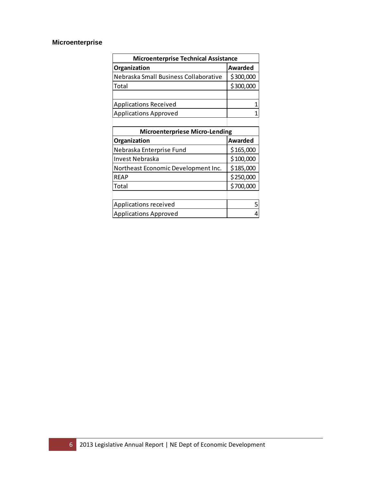### **Microenterprise**

| <b>Microenterprise Technical Assistance</b> |                |  |  |  |  |  |  |  |
|---------------------------------------------|----------------|--|--|--|--|--|--|--|
| Organization                                | <b>Awarded</b> |  |  |  |  |  |  |  |
| Nebraska Small Business Collaborative       | \$300,000      |  |  |  |  |  |  |  |
| Total                                       | \$300,000      |  |  |  |  |  |  |  |
|                                             |                |  |  |  |  |  |  |  |
| <b>Applications Received</b>                |                |  |  |  |  |  |  |  |
| <b>Applications Approved</b>                |                |  |  |  |  |  |  |  |
|                                             |                |  |  |  |  |  |  |  |
| Microontornrioco Micro Londing              |                |  |  |  |  |  |  |  |

| <b>Microenterpriese Micro-Lending</b> |           |  |  |  |  |  |  |  |
|---------------------------------------|-----------|--|--|--|--|--|--|--|
| Organization                          | Awarded   |  |  |  |  |  |  |  |
| Nebraska Enterprise Fund              | \$165,000 |  |  |  |  |  |  |  |
| Invest Nebraska                       | \$100,000 |  |  |  |  |  |  |  |
| Northeast Economic Development Inc.   | \$185,000 |  |  |  |  |  |  |  |
| <b>REAP</b>                           | \$250,000 |  |  |  |  |  |  |  |
| Total                                 | \$700,000 |  |  |  |  |  |  |  |
|                                       |           |  |  |  |  |  |  |  |
| Applications received                 |           |  |  |  |  |  |  |  |
| <b>Applications Approved</b>          |           |  |  |  |  |  |  |  |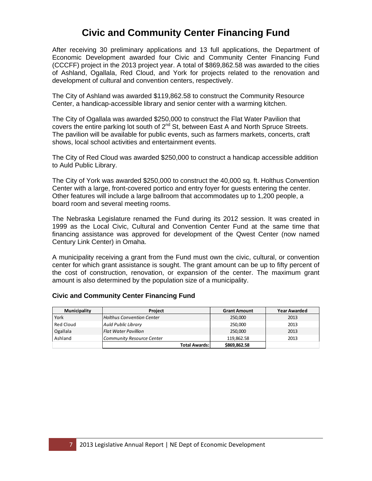### **Civic and Community Center Financing Fund**

After receiving 30 preliminary applications and 13 full applications, the Department of Economic Development awarded four Civic and Community Center Financing Fund (CCCFF) project in the 2013 project year. A total of \$869,862.58 was awarded to the cities of Ashland, Ogallala, Red Cloud, and York for projects related to the renovation and development of cultural and convention centers, respectively.

The City of Ashland was awarded \$119,862.58 to construct the Community Resource Center, a handicap-accessible library and senior center with a warming kitchen.

The City of Ogallala was awarded \$250,000 to construct the Flat Water Pavilion that covers the entire parking lot south of 2<sup>nd</sup> St, between East A and North Spruce Streets. The pavilion will be available for public events, such as farmers markets, concerts, craft shows, local school activities and entertainment events.

The City of Red Cloud was awarded \$250,000 to construct a handicap accessible addition to Auld Public Library.

The City of York was awarded \$250,000 to construct the 40,000 sq. ft. Holthus Convention Center with a large, front-covered portico and entry foyer for guests entering the center. Other features will include a large ballroom that accommodates up to 1,200 people, a board room and several meeting rooms.

The Nebraska Legislature renamed the Fund during its 2012 session. It was created in 1999 as the Local Civic, Cultural and Convention Center Fund at the same time that financing assistance was approved for development of the Qwest Center (now named Century Link Center) in Omaha.

A municipality receiving a grant from the Fund must own the civic, cultural, or convention center for which grant assistance is sought. The grant amount can be up to fifty percent of the cost of construction, renovation, or expansion of the center. The maximum grant amount is also determined by the population size of a municipality.

| Municipality | <b>Project</b>                   | <b>Grant Amount</b> | <b>Year Awarded</b> |
|--------------|----------------------------------|---------------------|---------------------|
| York         | <b>Holthus Convention Center</b> | 250,000             | 2013                |
| Red Cloud    | <b>Auld Public Library</b>       | 250,000             | 2013                |
| Ogallala     | <b>Flat Water Pavillion</b>      | 250,000             | 2013                |
| Ashland      | <b>Community Resource Center</b> | 119,862.58          | 2013                |
|              | <b>Total Awards:</b>             | \$869,862.58        |                     |

#### **Civic and Community Center Financing Fund**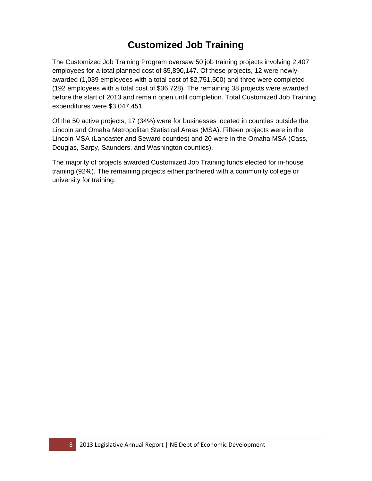# **Customized Job Training**

The Customized Job Training Program oversaw 50 job training projects involving 2,407 employees for a total planned cost of \$5,890,147. Of these projects, 12 were newlyawarded (1,039 employees with a total cost of \$2,751,500) and three were completed (192 employees with a total cost of \$36,728). The remaining 38 projects were awarded before the start of 2013 and remain open until completion. Total Customized Job Training expenditures were \$3,047,451.

Of the 50 active projects, 17 (34%) were for businesses located in counties outside the Lincoln and Omaha Metropolitan Statistical Areas (MSA). Fifteen projects were in the Lincoln MSA (Lancaster and Seward counties) and 20 were in the Omaha MSA (Cass, Douglas, Sarpy, Saunders, and Washington counties).

The majority of projects awarded Customized Job Training funds elected for in-house training (92%). The remaining projects either partnered with a community college or university for training.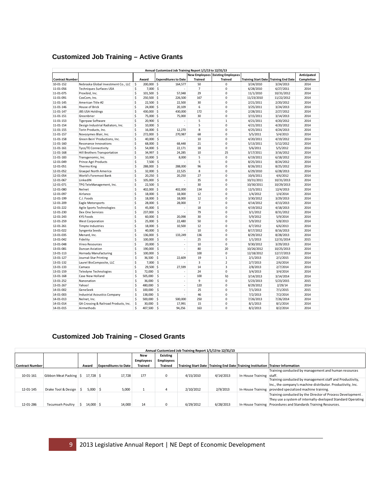#### **Customized Job Training – Active Grants**

|                        |                                       |                                   | Annual Customized Job Training Report 1/1/13 to 12/31/13 |                      |                           |            |                                                |             |
|------------------------|---------------------------------------|-----------------------------------|----------------------------------------------------------|----------------------|---------------------------|------------|------------------------------------------------|-------------|
|                        |                                       |                                   |                                                          | <b>New Employees</b> | <b>Existing Employees</b> |            |                                                | Anticipated |
| <b>Contract Number</b> |                                       | Award                             | <b>Expenditures to Date</b>                              | <b>Trained</b>       | <b>Trained</b>            |            | <b>Training Start Date   Training End Date</b> | Completion  |
| 10-01-152              | Nebraska Global Investment Co., LLC   | $\ddot{\mathsf{s}}$<br>200,000 \$ | 164,577                                                  | 50                   | 0                         | 3/24/2010  | 3/24/2013                                      | 2014        |
| 11-01-056              | <b>Techniques Surfaces USA</b>        | \$<br>$7,000$ \$                  |                                                          | $\overline{7}$       | $\mathbf 0$               | 6/28/2010  | 6/27/2011                                      | 2014        |
| 11-01-075              | Proxibid, Inc.                        | \$<br>101,500 \$                  | 57,048                                                   | 29                   | 0                         | 11/1/2010  | 10/31/2012                                     | 2014        |
| 11-01-091              | CoxCom, Inc.                          | \$<br>250,500 \$                  | 226,500                                                  | 167                  | $\mathbf 0$               | 11/23/2010 | 11/22/2012                                     | 2014        |
| 11-01-145              | American Title #2                     | \$<br>$22,500$ \$                 | 22,500                                                   | 30                   | 0                         | 2/21/2011  | 2/20/2012                                      | 2014        |
| 11-01-146              | House of Brick                        | \$<br>24,000 \$                   | 20,109                                                   | 6                    | 0                         | 3/25/2011  | 3/24/2013                                      | 2014        |
| 11-01-147              | <b>JBS USA Holdings</b>               | \$<br>430,000 \$                  | 430,000                                                  | 172                  | $\mathbf 0$               | 2/28/2011  | 2/27/2012                                      | 2014        |
| 11-01-151              | Greenbrier                            | \$<br>75,000 \$                   | 75,000                                                   | 30                   | $\mathbf 0$               | 3/15/2011  | 3/14/2013                                      | 2014        |
| 11-01-153              | <b>Tigerpaw Software</b>              | \$<br>20,900 \$                   | ÷                                                        | 5                    | $\mathbf 1$               | 4/21/2011  | 4/20/2012                                      | 2014        |
| 11-01-154              | Design Industrial Radiators, Inc.     | \$<br>$10,000$ \$                 | $\overline{a}$                                           | 5                    | 0                         | 4/21/2011  | 4/20/2012                                      | 2014        |
| 11-01-155              | Torin Products, Inc.                  | \$<br>$16,000$ \$                 | 12,270                                                   | 8                    | $\mathbf 0$               | 4/25/2011  | 4/24/2013                                      | 2014        |
| 11-01-157              | Novozymes Blair, Inc.                 | \$<br>272,000 \$                  | 270,987                                                  | 68                   | 0                         | 5/5/2011   | 5/4/2013                                       | 2014        |
| 11-01-158              | Green Bein' Productions, Inc.         | \$<br>40,000 \$                   |                                                          | 10                   | $\mathbf 0$               | 4/20/2011  | 4/19/2012                                      | 2014        |
| 11-01-160              | Resonance Innovations                 | \$<br>68,000 \$                   | 68,448                                                   | 21                   | 0                         | 5/13/2011  | 5/12/2012                                      | 2014        |
| 11-01-161              | <b>Tyco/TE Connectivity</b>           | \$<br>54,000 \$                   | 22,171                                                   | 18                   | $\mathbf 0$               | 5/6/2011   | 5/5/2012                                       | 2014        |
| 11-01-168              | Hill Brothers Transportation          | \$<br>34,997 \$                   | 24,285                                                   | 10                   | 25                        | 3/17/2011  | 3/16/2012                                      | 2014        |
| 11-01-183              | Transgenomic, Inc.                    | \$<br>$10,000$ \$                 | 8,000                                                    | 5                    | $\mathbf 0$               | 6/19/2011  | 6/18/2012                                      | 2014        |
| 12-01-049              | Prince Agri Products                  | \$<br>$7,500$ \$                  |                                                          | 5                    | $\mathbf 0$               | 8/25/2011  | 8/24/2012                                      | 2014        |
| 12-01-051              | Thermo King                           | \$<br>288,000 \$                  | 288,000                                                  | 96                   | 0                         | 8/26/2011  | 8/25/2012                                      | 2014        |
| 12-01-052              | <b>Graepel North America</b>          | \$<br>32,000 \$                   | 22,525                                                   | 8                    | 0                         | 6/29/2010  | 6/28/2013                                      | 2014        |
| 12-01-054              | World's Foremost Bank                 | \$<br>$20,250$ \$                 | 20,250                                                   | 27                   | $\mathbf 0$               | 10/6/2011  | 4/6/2012                                       | 2014        |
| 12-01-067              | LinkedIN                              | \$<br>105,000 \$                  | ÷,                                                       | 35                   | 0                         | 10/31/2011 | 10/31/2013                                     | 2014        |
| 12-01-071              | TPG TeleManagement, Inc.              | \$<br>$22,500$ \$                 | $\overline{a}$                                           | 30                   | $\mathbf 0$               | 10/30/2011 | 10/29/2013                                     | 2014        |
| 12-01-080              | Nelnet                                | \$<br>402,000 \$                  | 402,000                                                  | 134                  | $\mathbf 0$               | 12/5/2011  | 12/4/2013                                      | 2014        |
| 12-01-097              | Airlanco                              | \$<br>18,000 \$                   | 18,000                                                   | 12                   | $\mathbf 0$               | 1/4/2012   | 1/4/2014                                       | 2014        |
| 12-01-199              | C.J. Foods                            | \$<br>18,000 \$                   | 18,000                                                   | 12                   | $\mathbf 0$               | 3/30/2012  | 3/29/2013                                      | 2014        |
| 12-01-209              | Eagle Motorsports                     | \$<br>28,000 \$                   | 28,000                                                   | $\overline{7}$       | 0                         | 4/14/2012  | 4/13/2013                                      | 2014        |
| 12-01-222              | Agile Sports Technologies             | \$<br>45,000 \$                   | $\overline{a}$                                           | 18                   | $\mathbf 0$               | 4/19/2012  | 4/18/2013                                      | 2014        |
| 12-01-230              | Dex One Services                      | \$<br>237,000 \$                  | ÷                                                        | 79                   | $\mathbf 0$               | 3/1/2012   | 8/31/2012                                      | 2014        |
| 12-01-243              | <b>KYS Foods</b>                      | \$<br>60,000 \$                   | 20,098                                                   | 30                   | 0                         | 5/9/2012   | 5/9/2014                                       | 2014        |
| 12-01-259              | <b>West Corporation</b>               | \$<br>25,000 \$                   | 22,480                                                   | 50                   | $\mathbf 0$               | 5/9/2012   | 5/8/2013                                       | 2014        |
| 12-01-261              | <b>Timpte Industries</b>              | $\mathsf{\hat{S}}$<br>18,000 \$   | 10,500                                                   | 12                   | 0                         | 6/7/2012   | 6/6/2013                                       | 2014        |
| 13-01-022              | Syngenta Seeds                        | \$<br>40,000 \$                   | $\overline{a}$                                           | 10                   | $\mathbf 0$               | 8/17/2012  | 8/16/2013                                      | 2014        |
| 13-01-035              | Menard, Inc.                          | \$<br>136,000 \$                  | 133,249                                                  | 136                  | 0                         | 8/29/2012  | 8/28/2013                                      | 2014        |
| 13-01-042              | Fidelity                              | \$<br>100,000 \$                  | $\overline{a}$                                           | 25                   | 0                         | 1/1/2013   | 12/31/2014                                     | 2015        |
| 13-01-048              | Vireo Resources                       | \$<br>20,000 \$                   | $\overline{a}$                                           | 10                   | $\mathbf 0$               | 9/30/2012  | 3/29/2013                                      | 2014        |
| 13-01-081              | <b>Duncan Aviation</b>                | \$<br>190,000 \$                  | ÷                                                        | 80                   | 20                        | 10/26/2012 | 10/25/2013                                     | 2014        |
| 13-01-113              | Hornady Manufacturing                 | \$<br>100,000 \$                  | $\overline{a}$                                           | 100                  | $\mathbf 0$               | 12/18/2012 | 12/17/2013                                     | 2014        |
| 13-01-127              | Journal-Star Printing                 | \$<br>36,500 \$                   | 22,609                                                   | 19                   | $\mathbf 1$               | 2/1/2013   | 2/1/2015                                       | 2014        |
| 13-01-132              | Laurel BioComposite, LLC              | \$<br>$7,000$ \$                  |                                                          | 3                    | $\overline{2}$            | 2/7/2013   | 2/6/2014                                       | 2014        |
| 13-01-133              | Camaco                                | \$<br>29,500 \$                   | 27,599                                                   | 14                   | 3                         | 2/8/2013   | 2/7/2014                                       | 2014        |
| 13-01-159              | <b>Teledyne Technologies</b>          | \$<br>72,000                      | \$<br>$\overline{a}$                                     | 24                   | 0                         | 3/4/2013   | 3/4/2014                                       | 2014        |
| 13-01-168              | Case New Holland                      | \$<br>505,000 \$                  | $\overline{a}$                                           | 100                  | 10                        | 3/14/2013  | 3/14/2014                                      | 2014        |
| 13-01-252              | Nanonation                            | \$<br>36,000 \$                   | ÷,                                                       | 9                    | $\mathbf 0$               | 5/23/2013  | 5/23/2015                                      | 2015        |
| 13-01-267              | Yahoo!                                | \$<br>480,000 \$                  | ÷                                                        | 120                  | 0                         | 8/29/2012  | 2/29/14                                        | 2014        |
| 14-01-002              | GeneSeek                              | \$<br>100,000 \$                  | ÷                                                        | 25                   | $\mathbf 0$               | 7/1/2013   | 7/1/2015                                       | 2015        |
| 14-01-003              | <b>Industrial Acoustics Company</b>   | \$<br>138,000                     | \$<br>$\overline{a}$                                     | 46                   | 0                         | 7/2/2013   | 7/2/2014                                       | 2014        |
| 14-01-013              | Nelnet, Inc.                          | \$<br>500,000 \$                  | 500,000                                                  | 250                  | $\mathbf 0$               | 7/26/2013  | 7/26/2014                                      | 2014        |
| 14-01-014              | GA Crossing & Railroad Products, Inc. | \$<br>30,000 \$                   | 17,991                                                   | 15                   | $\mathbf 0$               | 8/1/2013   | 8/1/2014                                       | 2014        |
| 14-01-015              | Airmethods                            | \$<br>407,500 \$                  | 94,256                                                   | 163                  | $\mathbf 0$               | 8/2/2013   | 8/2/2014                                       | 2014        |
|                        |                                       |                                   |                                                          |                      |                           |            |                                                |             |

### **Customized Job Training – Closed Grants**

|                        |                         |                   |                             |                |                  | Annual Customized Job Training Report 1/1/13 to 12/31/13 |           |                            |                                                                                      |
|------------------------|-------------------------|-------------------|-----------------------------|----------------|------------------|----------------------------------------------------------|-----------|----------------------------|--------------------------------------------------------------------------------------|
|                        |                         |                   |                             | New            | <b>Existing</b>  |                                                          |           |                            |                                                                                      |
|                        |                         |                   |                             | Employees      | <b>Employees</b> |                                                          |           |                            |                                                                                      |
| <b>Contract Number</b> |                         | Award             | <b>Expenditures to Date</b> | <b>Trained</b> | <b>Trained</b>   |                                                          |           |                            | Training Start Date   Training End Date   Training Institution   Trainer Information |
|                        |                         |                   |                             |                |                  |                                                          |           |                            | Training conducted by management and human resources                                 |
| 10-01-161              | Gibbon Meat Packing \$  | $17,728$ \$       | 17,728                      | 177            | $\Omega$         | 4/15/2010                                                | 4/14/2013 | In-House Training   staff. |                                                                                      |
|                        |                         |                   |                             |                |                  |                                                          |           |                            | Training conducted by management staff and Productivity,                             |
|                        |                         |                   |                             |                |                  |                                                          |           |                            | Inc., the company's machine distributor. Productivity, Inc.                          |
| 12-01-145              | Drake Tool & Design     | $5.000$ $\mid$ \$ | 5,000                       |                | 4                | 2/10/2012                                                | 2/9/2013  | In-House Training          | provided specialized machine training.                                               |
|                        |                         |                   |                             |                |                  |                                                          |           |                            | Training conducted by the Director of Process Development.                           |
|                        |                         |                   |                             |                |                  |                                                          |           |                            | They use a system of internally-dveloped Standard Operating                          |
| 12-01-286              | <b>Tecumseh Poultry</b> | $14,000 \,$ S     | 14,000                      | 14             | $\Omega$         | 6/29/2012                                                | 6/28/2013 | In-House Training          | Procedures and Standards Training Resources.                                         |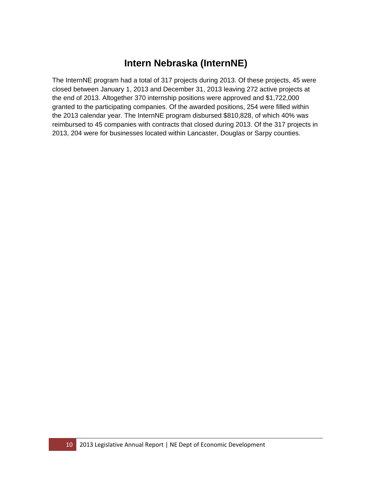# **Intern Nebraska (InternNE)**

The InternNE program had a total of 317 projects during 2013. Of these projects, 45 were closed between January 1, 2013 and December 31, 2013 leaving 272 active projects at the end of 2013. Altogether 370 internship positions were approved and \$1,722,000 granted to the participating companies. Of the awarded positions, 254 were filled within the 2013 calendar year. The InternNE program disbursed \$810,828, of which 40% was reimbursed to 45 companies with contracts that closed during 2013. Of the 317 projects in 2013, 204 were for businesses located within Lancaster, Douglas or Sarpy counties.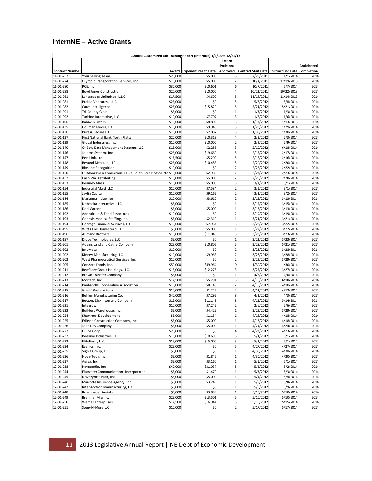### **InternNE – Active Grants**

| Annual Customized Job Training Report (InternNE) 1/1/13 to 12/31/13 |                                                                |                      |                             |                   |                        |                                                  |              |  |
|---------------------------------------------------------------------|----------------------------------------------------------------|----------------------|-----------------------------|-------------------|------------------------|--------------------------------------------------|--------------|--|
|                                                                     |                                                                |                      |                             | Intern            |                        |                                                  |              |  |
|                                                                     |                                                                |                      |                             | <b>Positions</b>  |                        |                                                  | Anticipated  |  |
| <b>Contract Number</b>                                              |                                                                | Award                | <b>Expenditures to Date</b> | Approved          |                        | Contract Start Date Contract End Date Completion |              |  |
| 11-01-257                                                           | Your Selling Team                                              | \$25,000             | \$5,000                     | 5                 | 7/28/2011              | 1/1/2014                                         | 2014         |  |
| 11-01-274                                                           | Olympic Transporation Services, Inc.                           | \$10,000             | \$5,000                     | $\overline{2}$    | 10/4/2011              | 12/19/2013                                       | 2014         |  |
| 11-01-280                                                           | PCE, Inc                                                       | \$30,000             | \$10,601                    | 6                 | 10/7/2011              | 5/7/2014                                         | 2014         |  |
| 11-01-298                                                           | <b>Boyd Jones Construction</b>                                 | \$20,000             | \$10,000                    | $\overline{4}$    | 10/22/2011             | 10/22/2013                                       | 2014         |  |
| 12-01-061                                                           | Landscapes Unlimited, L.L.C.                                   | \$17,500             | \$4,600                     | 5                 | 11/14/2011             | 11/14/2013                                       | 2014         |  |
| 12-01-081                                                           | Prairie Ventures, L.L.C.                                       | \$25,000             | \$0                         | 5                 | 5/8/2012               | 5/8/2014                                         | 2014         |  |
| 12-01-082                                                           | Catch Intelligence                                             | \$25,000             | \$15,829                    | 5                 | 5/21/2012              | 5/21/2014                                        | 2014         |  |
| 12-01-091                                                           | <b>Tri-County Glass</b>                                        | \$5,000              | \$0                         | $\mathbf{1}$      | 1/3/2012               | 1/3/2014                                         | 2014         |  |
| 12-01-092                                                           | Turbine Interactive, LLC                                       | \$10,000             | \$7,707                     | 3                 | 1/6/2012               | 1/6/2014                                         | 2014         |  |
| 12-01-106                                                           | <b>Baldwin Filters</b>                                         | \$15,000             | \$8,802                     | 3                 | 1/13/2012              | 1/13/2013                                        | 2014         |  |
| 12-01-135                                                           | Hollman Media, LLC                                             | \$15,000             | \$9,940                     | 3                 | 1/29/2012              | 1/29/2014                                        | 2014         |  |
| 12-01-136                                                           | Pure & Secure LLC                                              | \$15,000             | \$2,087                     | 3                 | 1/30/2012              | 1/30/2014                                        | 2014         |  |
| 12-01-137                                                           | First National Bank North Platte                               | \$20,000             | \$10,313                    | $\overline{4}$    | 2/3/2012               | 2/3/2014                                         | 2014         |  |
| 12-01-139                                                           | Global Industries, Inc.                                        | \$10,000             | \$10,000                    | $\overline{2}$    | 2/9/2012               | 2/9/2014                                         | 2014         |  |
| 12-01-140                                                           | OxBow Data Management Systems, LLC                             | \$15,000             | \$2,286                     | 3                 | 2/10/2012              | 6/18/2014                                        | 2014         |  |
| 12-01-146                                                           | Jelecos Systems Inc                                            | \$25,000             | \$19,669                    | 5                 | 2/17/2012              | 2/17/2014                                        | 2014         |  |
| 12-01-147                                                           | Pen-Link, Ltd.                                                 | \$17,500             | \$5,209                     | 5                 | 2/16/2012              | 2/16/2014                                        | 2014         |  |
| 12-01-148                                                           | Beyond Measure, LLC                                            | \$25,000             | \$10,483                    | 5                 | 2/20/2012              | 2/20/2014                                        | 2014         |  |
| 12-01-149                                                           | <b>Rixstine Recognition</b>                                    | \$10,000             | \$0                         | $\overline{2}$    | 2/22/2012              | 2/22/2014                                        | 2014         |  |
| 12-01-150                                                           | Outdoorsmen Productions LLC & South Creek Associate \$10,000   |                      | \$2,983                     | $\overline{2}$    | 2/23/2012              | 2/23/2014                                        | 2014         |  |
| 12-01-152                                                           | Cash-Wa Distributing                                           | \$10,000             | \$5,000                     | $\overline{2}$    | 2/29/2012              | 2/28/2014                                        | 2014         |  |
| 12-01-153                                                           | Kearney Glass                                                  | \$15,000             | \$5,000                     | 3                 | 3/1/2012               | 3/1/2014                                         | 2014         |  |
| 12-01-154                                                           | Industrial Maid, LLC                                           | \$10,000             | \$7,584                     | $\overline{2}$    | 3/1/2012               | 3/1/2014                                         | 2014         |  |
| 12-01-155                                                           | Javlin Capital                                                 | \$10,000             | \$9,162                     | $\overline{2}$    | 3/2/2012               | 3/2/2014                                         | 2014         |  |
| 12-01-184                                                           | Marianna Industries                                            | \$10,000             | \$3,610                     | $\overline{2}$    | 3/13/2012              | 3/13/2014                                        | 2014         |  |
| 12-01-185                                                           | Nebraska Interactive, LLC                                      | \$5,000              | \$0                         | $\mathbf 1$       | 3/15/2012              | 3/15/2014                                        | 2014         |  |
| 12-01-186                                                           | Deal Garden                                                    | \$5,000              | \$5,000                     | $1\,$             | 3/13/2012              | 3/13/2014                                        | 2014         |  |
| 12-01-192                                                           | Agriculture & Food Associates                                  | \$10,000             | \$0                         | $\overline{2}$    | 3/19/2012              | 3/19/2014                                        | 2014         |  |
| 12-01-193                                                           | Genesis Medical Staffing, Inc.                                 | \$5,000              | \$2,319                     | $\mathbf 1$       | 3/21/2012              | 3/21/2014                                        | 2014         |  |
| 12-01-194                                                           | Heritage Financial Services, LLC                               | \$15,000             | \$7,964                     | 3                 | 3/22/2012              | 3/22/2014                                        | 2014         |  |
| 12-01-195                                                           | Witt's End Homestead, LLC                                      | \$5,000              | \$5,000                     | $\mathbf{1}$      | 3/22/2012              | 3/22/2014                                        | 2014         |  |
| 12-01-196                                                           | <b>Allmand Brothers</b>                                        | \$15,000             | \$11,040                    | 3                 | 3/23/2012              | 3/23/2014                                        | 2014         |  |
| 12-01-197                                                           | Diode Technologies, LLC                                        | \$5,000              | \$0                         | $\mathbf{1}$<br>5 | 3/23/2012              | 3/23/2014                                        | 2014         |  |
| 12-01-201                                                           | Adams Land and Cattle Company                                  | \$25,000             | \$10,805                    | $\overline{2}$    | 3/28/2012              | 5/21/2014                                        | 2014<br>2014 |  |
| 12-01-202<br>12-01-202                                              | IntoMetal                                                      | \$10,000             | \$0                         | $\overline{2}$    | 3/28/2012              | 3/28/2014                                        | 2014         |  |
| 12-01-203                                                           | Kinney Manufacturing LLC<br>West Pharmeceutical Services, Inc. | \$10,000<br>\$10,000 | \$9,963<br>\$0              | $\overline{2}$    | 3/28/2012<br>3/29/2012 | 3/28/2014<br>3/29/2014                           | 2014         |  |
| 12-01-205                                                           | ConAgra Foods, Inc.                                            | \$50,000             | \$49,964                    | 10                | 1/30/2012              | 1/30/2014                                        | 2014         |  |
| 12-01-211                                                           | RedGlaze Group Holdings, LLC                                   | \$15,000             | \$12,278                    | 3                 | 3/27/2012              | 3/27/2014                                        | 2014         |  |
| 12-01-212                                                           | Brown Transfer Company                                         | \$5,000              | \$0                         | $\mathbf{1}$      | 4/6/2012               | 4/6/2014                                         | 2014         |  |
| 12-01-213                                                           | Mortech, Inc.                                                  | \$17,500             | \$5,291                     | 5                 | 4/10/2012              | 6/18/2014                                        | 2014         |  |
| 12-01-214                                                           | Panhandle Cooperative Association                              | \$10,000             | \$8,140                     | $\overline{2}$    | 4/10/2012              | 4/10/2014                                        | 2014         |  |
| 12-01-215                                                           | Great Western Bank                                             | \$10,000             | \$1,245                     | $\overline{2}$    | 4/12/2012              | 4/12/2014                                        | 2014         |  |
| 12-01-216                                                           | Behlen Manufacturing Co.                                       | \$40,000             | \$7,292                     | 8                 | 4/3/2012               | 4/3/2014                                         | 2014         |  |
| 12-01-217                                                           | Becton, Dickinson and Company                                  | \$15,000             | \$11,149                    | 8                 | 4/13/2012              | 5/14/2014                                        | 2014         |  |
| 12-01-221                                                           | Integrow                                                       | \$10,000             | \$7,242                     | $\overline{2}$    | 2/6/2012               | 2/6/2014                                         | 2014         |  |
| 12-01-223                                                           | Builders Warehouse, Inc.                                       | \$5,000              | \$4,422                     | $1\,$             | 3/29/2012              | 3/29/2014                                        | 2014         |  |
| 12-01-224                                                           | Shamrock Development                                           | \$5,000              | \$1,154                     | $\mathbf 1$       | 4/18/2012              | 4/18/2014                                        | 2014         |  |
| 12-01-225                                                           | Eriksen Construction Company, Inc.                             | \$5,000              | \$5,000                     | $\mathbf{1}$      | 4/18/2012              | 4/18/2014                                        | 2014         |  |
| 12-01-226                                                           | John Day Company                                               | \$5,000              | \$5,000                     |                   | 4/24/2012              | 4/24/2014                                        | 2014         |  |
| 12-01-227                                                           | Hiline Coop                                                    | \$20,000             | \$0                         | $\overline{a}$    | 4/23/2012              | 4/23/2014                                        | 2014         |  |
| 12-01-232                                                           | Beehive Industries, LLC                                        | \$15,000             | \$10,693                    | 3                 | 5/1/2012               | 5/1/2014                                         | 2014         |  |
| 12-01-233                                                           | EliteForm, LLC                                                 | \$15,000             | \$15,000                    | $\mathbf{3}$      | 5/1/2012               | 5/1/2014                                         | 2014         |  |
| 12-01-234                                                           | Ezenics, Inc.                                                  | \$25,000             | \$0                         | 5                 | 4/27/2012              | 4/27/2014                                        | 2014         |  |
| 12-01-235                                                           | Sigma Group, LLC                                               | \$5,000              | \$0                         | $1\,$             | 4/30/2012              | 4/30/2014                                        | 2014         |  |
| 12-01-236                                                           | Nova-Tech, Inc.                                                | \$5,000              | \$1,846                     | $\,1$             | 4/30/2012              | 4/30/2014                                        | 2014         |  |
| 12-01-237                                                           | Agrex, Inc.                                                    | \$5,000              | \$3,160                     | $\,1$             | 5/1/2012               | 5/1/2014                                         | 2014         |  |
| 12-01-238                                                           | Hayneedle, Inc.                                                | \$40,000             | \$31,037                    | 8                 | 5/2/2012               | 5/2/2014                                         | 2014         |  |
| 12-01-244                                                           | Flatwater Communications Incorporated                          | \$5,000              | \$1,470                     | $\,1$             | 5/3/2012               | 5/3/2014                                         | 2014         |  |
| 12-01-245                                                           | Novozymes Blair, Inc.                                          | \$5,000              | \$5,000                     | $1\,$             | 5/4/2012               | 5/4/2014                                         | 2014         |  |
| 12-01-246                                                           | Marcotte Insurance Agency, Inc.                                | \$5,000              | \$3,249                     | $\,1$             | 5/8/2012               | 5/8/2014                                         | 2014         |  |
| 12-01-247                                                           | Inter-Motion Manufacturing, LLC                                | \$5,000              | \$0                         | $1\,$             | 5/9/2012               | 5/9/2014                                         | 2014         |  |
| 12-01-248                                                           | Rosenbauer Aerials                                             | \$5,000              | \$3,899                     | $\,1$             | 5/10/2012              | 5/10/2014                                        | 2014         |  |
| 12-01-249                                                           | Brehmer Mfg Inc.                                               | \$25,000             | \$13,501                    | 5                 | 5/10/2012              | 5/10/2014                                        | 2014         |  |
| 12-01-250                                                           | <b>Werner Enterprises</b>                                      | \$17,500             | \$16,944                    | 5                 | 5/15/2012              | 5/15/2014                                        | 2014         |  |
| 12-01-251                                                           | Soup-N-More LLC                                                | \$10,000             | \$0                         | $\overline{2}$    | 5/17/2012              | 5/17/2014                                        | 2014         |  |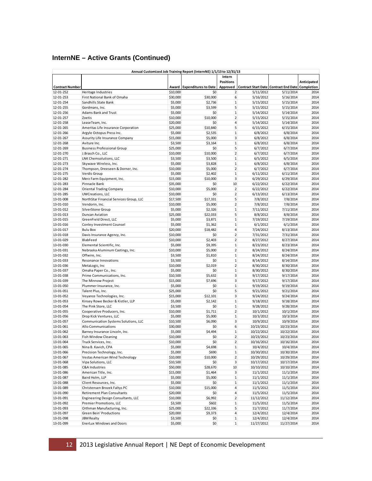### **InternNE – Active Grants (Continued)**

|                        |                                         |                     | Annual Customized Job Training Report (InternNE) 1/1/13 to 12/31/13 |                         |                                                         |            |              |
|------------------------|-----------------------------------------|---------------------|---------------------------------------------------------------------|-------------------------|---------------------------------------------------------|------------|--------------|
|                        |                                         |                     |                                                                     | Intern                  |                                                         |            |              |
|                        |                                         |                     |                                                                     | <b>Positions</b>        |                                                         |            | Anticipated  |
| <b>Contract Number</b> |                                         | Award               | <b>Expenditures to Date</b>                                         | Approved                | <b>Contract Start Date Contract End Date Completion</b> |            |              |
| 12-01-252              | Heritage Industries                     | \$10,000            | \$0                                                                 | $\overline{2}$          | 5/11/2012                                               | 5/11/2014  | 2014         |
| 12-01-253              | First National Bank of Omaha            | \$30,000            | \$30,000                                                            | 6                       | 5/16/2012                                               | 5/16/2014  | 2014         |
| 12-01-254              | Sandhills State Bank                    | \$5,000             | \$2,736                                                             | $\mathbf 1$             | 5/15/2012                                               | 5/15/2014  | 2014         |
| 12-01-255              | Gordmans, Inc.                          | \$5,000             | \$3,599                                                             | 5                       | 5/15/2012                                               | 5/15/2014  | 2014         |
| 12-01-256              | Adams Bank and Trust                    | \$5,000             | \$0                                                                 | $\mathbf{1}$            | 5/14/2012                                               | 5/14/2014  | 2014         |
| 12-01-257              | Zoetis                                  | \$10,000            | \$10,000                                                            | $\overline{2}$          | 5/15/2012                                               | 5/15/2014  | 2014         |
| 12-01-258              | LeaseTeam, Inc.                         | \$20,000            | \$0                                                                 | $\overline{4}$          | 5/14/2012                                               | 5/14/2014  | 2014         |
| 12-01-265              | Ameritas Life Insurance Corporation     | \$25,000            | \$10,840                                                            | 5                       | 6/15/2012                                               | 6/15/2014  | 2014         |
| 12-01-266              | Argyle Octopus Press Inc.               | \$5,000             | \$2,535                                                             | $\mathbf 1$             | 6/8/2012                                                | 6/8/2014   | 2014         |
| 12-01-267              | Assurity Life Insurance Company         | \$15,000            | \$5,000                                                             | 3                       | 6/8/2012                                                | 6/8/2014   | 2014         |
| 12-01-268              | Aviture Inc.                            | \$3,500             | \$3,164                                                             | $\mathbf 1$             | 6/8/2012                                                | 6/8/2014   | 2014         |
| 12-01-269              | <b>Business Professional Group</b>      | \$25,000            | \$0                                                                 | 5                       | 6/7/2012                                                | 6/7/2014   | 2014         |
| 12-01-270              | J.Brasch Co., LLC                       | \$10,000            | \$10,000                                                            | $\overline{2}$          | 6/7/2012                                                | 6/7/2014   | 2014         |
| 12-01-271              | LNK Chemsolutions, LLC                  | \$3,500             | \$3,500                                                             | $\mathbf{1}$            | 6/5/2012                                                | 6/5/2014   | 2014         |
| 12-01-273              | Skywave Wireless, Inc.                  | \$5,000             | \$3,828                                                             | $\mathbf 1$             | 6/8/2012                                                | 6/8/2014   | 2014         |
| 12-01-274              | Thompson, Dreeseen & Dorner, Inc.       | \$10,000            | \$5,000                                                             | $\overline{2}$          | 6/7/2012                                                | 6/7/2014   | 2014         |
| 12-01-275              | Verdis Group                            | \$5,000             | \$2,402                                                             | $\mathbf 1$             | 6/11/2012                                               | 6/11/2014  | 2014         |
| 12-01-282              | Merz Farm Equipment, Inc.               | \$15,000            | \$10,000                                                            | 3                       | 6/29/2012                                               | 6/29/2014  | 2014         |
| 12-01-283              | Pinnacle Bank                           | \$35,000            | \$0                                                                 | 10                      | 6/22/2012                                               | 6/22/2014  | 2014         |
| 12-01-284              | <b>Oriental Trading Company</b>         | \$10,000            | \$5,000                                                             | $\overline{2}$          | 6/22/2012                                               | 6/22/2014  | 2014         |
| 12-01-285              | <b>UWCreations, LLC</b>                 | \$10,000            | \$0                                                                 | $\overline{2}$          | 6/13/2012                                               | 6/13/2014  | 2014         |
| 13-01-008              | NorthStar Financial Services Group, LLC | \$17,500            | \$17,331                                                            | 5                       | 7/8/2012                                                | 7/8/2014   | 2014         |
| 13-01-010              | Vendorin, Inc.                          | \$10,000            | \$5,000                                                             | $\overline{2}$          | 7/8/2012                                                | 7/8/2014   | 2014         |
| 13-01-012              | SilverStone Group                       | \$5,000             | \$2,326                                                             | $\,1$                   | 7/11/2012                                               | 7/11/2014  | 2014         |
| 13-01-013              | <b>Duncan Aviation</b>                  | \$25,000            | \$22,033                                                            | 5                       | 8/8/2012                                                | 8/8/2014   | 2014         |
| 13-01-015              | GreenField Direct, LLC                  | \$5,000             | \$3,871                                                             | $\mathbf{1}$            | 7/19/2012                                               | 7/19/2014  | 2014         |
| 13-01-016              | Conley Investment Counsel               | \$5,000             | \$1,362                                                             | $\mathbf{1}$            | 6/1/2012                                                | 6/1/2014   | 2014         |
| 13-01-017              | <b>Bulu Box</b>                         | \$20,000            | \$18,482                                                            | $\overline{4}$          | 7/24/2012                                               | 8/13/2014  | 2014         |
| 13-01-018              | Davis Insurance Agency, Inc.            | \$10,000            | \$0                                                                 | $\overline{2}$          | 7/31/2012                                               | 7/31/2014  | 2014         |
| 13-01-029              | BlabFeed                                | \$10,000            | \$2,403                                                             | $\overline{2}$          | 8/27/2012                                               | 8/27/2014  | 2014         |
| 13-01-030              | Elemental Scientific, Inc.              | \$5,000             | \$9,395                                                             | $\mathbf 1$             | 8/23/2012                                               | 8/23/2014  | 2014         |
| 13-01-031              | Nebraska Aluminum Castings, Inc.        | \$10,000            | \$5,000                                                             | $\overline{2}$          | 8/24/2012                                               | 8/24/2014  | 2014         |
| 13-01-032              | Offwire, Inc.                           | \$3,500             | \$1,810                                                             | $\mathbf 1$             | 8/24/2012                                               | 8/24/2014  | 2014         |
| 13-01-033              | Resonance Innovations                   | \$3,500             | \$0                                                                 | $\,1$                   | 8/14/2012                                               | 8/14/2014  | 2014         |
| 13-01-036              | MetaLogic, Inc                          | \$10,000            | \$2,019                                                             | $\overline{2}$          | 8/30/2012                                               | 8/30/2014  | 2014         |
| 13-01-037              | Omaha Paper Co., Inc.                   | \$5,000             | \$0                                                                 | $\mathbf 1$             | 8/30/2012                                               | 8/30/2014  | 2014         |
| 13-01-038              | Prime Communications, Inc.              | \$10,500            | \$5,632                                                             | 3                       | 9/17/2012                                               | 9/17/2014  | 2014         |
| 13-01-039              | The Minnow Project                      | \$15,000            | \$7,696                                                             | 3                       | 9/17/2012                                               | 9/17/2014  | 2014         |
| 13-01-050              | Plummer Insurance, Inc.                 | \$5,000             | \$0                                                                 | $\,1$                   | 9/19/2012                                               | 9/19/2014  | 2014         |
| 13-01-051              | Talent Plus, Inc.                       | \$25,000            | \$0                                                                 | 5                       | 9/21/2012                                               | 9/21/2014  | 2014         |
| 13-01-052              | Veyance Technologies, Inc.              | \$15,000            | \$12,101                                                            | 3                       | 9/24/2012                                               | 9/24/2014  | 2014         |
| 13-01-053              | Kinsey Rowe Becker & Kistler, LLP       | \$5,000             | \$2,142                                                             | $\mathbf{1}$            | 9/18/2012                                               | 9/18/2014  | 2014         |
| 13-01-054              |                                         |                     |                                                                     | $\mathbf 1$             | 9/28/2012                                               |            | 2014         |
|                        | The Pink Store, LLC                     | \$3,500             | \$0                                                                 | $\overline{2}$          |                                                         | 9/28/2014  | 2014         |
| 13-01-055              | Cooperative Producers, Inc.             | \$10,000            | \$1,711                                                             | $\mathbf 1$             | 10/1/2012                                               | 10/1/2014  | 2014         |
| 13-01-056              | Drop Kick Ventures, LLC                 | \$5,000<br>\$10,500 | \$5,000                                                             | 3                       | 10/3/2012                                               | 10/3/2014  |              |
| 13-01-057              | Communication Systems Solutions, LLC    |                     | \$6,090                                                             |                         | 10/9/2012                                               | 10/9/2014  | 2014         |
| 13-01-061              | Allo Communications                     | \$30,000            | \$0                                                                 | 6<br>$\mathbf{1}$       | 10/23/2012                                              | 10/23/2014 | 2014<br>2014 |
| 13-01-062              | Barney Insurance Lincoln, Inc.          | \$5,000             | \$4,494                                                             |                         | 10/22/2012                                              | 10/22/2014 |              |
| 13-01-063              | Fish Window Cleaning                    | \$10,000            | \$0                                                                 | $\overline{2}$          | 10/23/2012                                              | 10/23/2014 | 2014         |
| 13-01-064              | Truck Services, Inc.                    | \$10,000            | Ş0                                                                  | $\overline{2}$          | 10/16/2012                                              | 10/16/2014 | 2014         |
| 13-01-065              | Nina B. Kavich, CPA                     | \$5,000             | \$4,698                                                             | $\mathbf 1$             | 10/4/2012                                               | 10/4/2014  | 2014         |
| 13-01-066              | Precision Technology, Inc.              | \$5,000             | \$690                                                               | $\mathbf{1}$            | 10/30/2012                                              | 10/30/2014 | 2014         |
| 13-01-067              | Vestas American Wind Technology         | \$10,000            | \$10,000                                                            | $\overline{2}$          | 10/29/2012                                              | 10/29/2014 | 2014         |
| 13-01-068              | Vipa Solutions, LLC                     | \$10,500            | \$0                                                                 | $\overline{\mathbf{3}}$ | 10/17/2012                                              | 10/17/2014 | 2014         |
| 13-01-085              | C&A Industries                          | \$50,000            | \$28,670                                                            | 10                      | 10/10/2012                                              | 10/10/2014 | 2014         |
| 13-01-086              | American Title, Inc.                    | \$15,000            | \$1,464                                                             | 3                       | 11/1/2012                                               | 11/1/2014  | 2014         |
| 13-01-087              | Baird Holm, LLP                         | \$5,000             | \$5,000                                                             | $1\,$                   | 11/1/2012                                               | 11/1/2014  | 2014         |
| 13-01-088              | Client Resources, Inc.                  | \$5,000             | \$0                                                                 | $\mathbf{1}$            | 11/1/2012                                               | 11/1/2014  | 2014         |
| 13-01-089              | Christensen Brozek Faltys PC            | \$10,000            | \$15,000                                                            | $\overline{4}$          | 11/5/2012                                               | 11/5/2014  | 2014         |
| 13-01-090              | Retirement Plan Consultants             | \$20,000            | \$0                                                                 | $\overline{a}$          | 11/5/2012                                               | 11/5/2014  | 2014         |
| 13-01-091              | Engineering Design Consultants, LLC     | \$10,000            | \$6,992                                                             | $\overline{2}$          | 11/12/2012                                              | 11/12/2014 | 2014         |
| 13-01-092              | Premier Promotions, LLC                 | \$3,500             | \$602                                                               | $\,1$                   | 11/5/2012                                               | 11/5/2014  | 2014         |
| 13-01-093              | Orthman Manufacturing, Inc.             | \$25,000            | \$22,336                                                            | 5                       | 11/7/2012                                               | 11/7/2014  | 2014         |
| 13-01-097              | Green Bein' Productions                 | \$20,000            | \$9,373                                                             | $\overline{4}$          | 12/4/2012                                               | 12/4/2014  | 2014         |
| 13-01-098              | <b>JBM Realty</b>                       | \$3,500             | \$0                                                                 | $1\,$                   | 12/4/2012                                               | 12/4/2014  | 2014         |
| 13-01-099              | <b>EnerLux Windows and Doors</b>        | \$5,000             | \$0                                                                 | $\mathbf{1}$            | 11/27/2012                                              | 11/27/2014 | 2014         |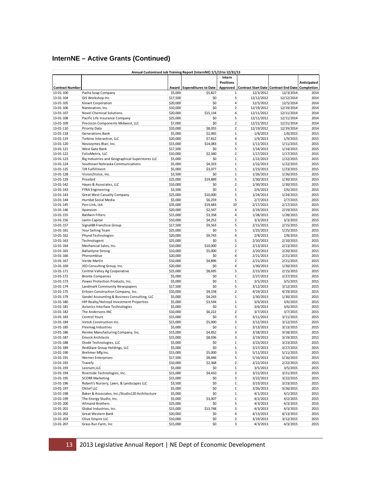### **InternNE – Active Grants (Continued)**

|                        |                                                         |                      | Annual Customized Job Training Report (InternNE) 1/1/13 to 12/31/13 |                         |                        |                                                  |              |
|------------------------|---------------------------------------------------------|----------------------|---------------------------------------------------------------------|-------------------------|------------------------|--------------------------------------------------|--------------|
|                        |                                                         |                      |                                                                     | Intern                  |                        |                                                  |              |
|                        |                                                         |                      |                                                                     | <b>Positions</b>        |                        |                                                  | Anticipated  |
| <b>Contract Number</b> |                                                         | Award                | <b>Expenditures to Date</b>                                         | Approved                |                        | Contract Start Date Contract End Date Completion |              |
| 13-01-100              | Pacha Soap Company                                      | \$5,000              | \$5,827                                                             | $\mathbf{1}$            | 12/3/2012              | 12/3/2014                                        | 2014         |
| 13-01-104              | GIS Workshop Inc                                        | \$17,500             | \$0                                                                 | 5                       | 12/12/2012             | 12/12/2014                                       | 2014         |
| 13-01-105              | Kiewit Corporation                                      | \$20,000             | \$0                                                                 | $\overline{4}$          | 12/5/2012              | 12/5/2014                                        | 2014         |
| 13-01-106              | Nanonation, Inc.                                        | \$10,000             | \$0                                                                 | $\overline{2}$          | 12/19/2012             | 12/19/2014                                       | 2014         |
| 13-01-107              | <b>Novel Chemical Solutions</b>                         | \$20,000             | \$15,134                                                            | 4                       | 12/11/2012             | 12/11/2014                                       | 2014         |
| 13-01-108              | Pacific Life Insurance Company                          | \$25,000             | \$0                                                                 | 5                       | 12/11/2012             | 12/11/2014                                       | 2014         |
| 13-01-109              | Precision Components Midwest, LLC                       | \$7,000              | \$0                                                                 | $\overline{2}$          | 12/21/2012             | 12/21/2014                                       | 2014         |
| 13-01-110              | Priority Data                                           | \$10,000             | \$8,055                                                             | $\overline{2}$          | 12/19/2012             | 12/19/2014                                       | 2014         |
| 13-01-118              | Generations Bank                                        | \$5,000              | \$2,065                                                             | $\mathbf 1$             | 1/8/2013               | 1/8/2015                                         | 2015         |
| 13-01-119              | Turbine Interactive, LLC                                | \$20,000             | \$7,812                                                             | 4                       | 1/9/2013               | 1/9/2015                                         | 2015         |
| 13-01-120              | Novozymes Blair, Inc.                                   | \$15,000             | \$14,083                                                            | 3                       | 1/11/2013              | 1/11/2015                                        | 2015         |
| 13-01-121              | West Gate Bank                                          | \$17,500             | \$0                                                                 | 5                       | 1/14/2013              | 1/14/2015                                        | 2015         |
| 13-01-122              | FolioMetrix, LLC                                        | \$10,000             | \$2,340                                                             | $\overline{2}$          | 1/17/2013              | 1/17/2015                                        | 2015         |
| 13-01-123              | Big Industries and Geographical Superstores LLC         | \$5,000              | \$0                                                                 | $\mathbf 1$             | 1/22/2013              | 1/22/2015                                        | 2015         |
| 13-01-124              | Southeast Nebraska Communications                       | \$5,000              | \$4,333                                                             | $\mathbf 1$             | 1/22/2013              | 1/22/2015                                        | 2015         |
| 13-01-125              | <b>TJR Fulfillment</b>                                  | \$5,000              | \$3,077                                                             | $\mathbf 1$             | 1/23/2013              | 1/23/2015                                        | 2015         |
| 13-01-128              | Vision2Voice, Inc.                                      | \$3,500              | \$0                                                                 | $\mathbf{1}$            | 1/26/2013              | 1/26/2015                                        | 2015         |
| 13-01-129              | Proxibid                                                | \$25,000             | \$19,889                                                            | 5                       | 1/30/2013              | 1/30/2015                                        | 2015         |
| 13-01-142              | Hayes & Associates, LLC                                 | \$10,000             | \$0                                                                 | $\overline{2}$          | 1/30/2013              | 1/30/2015                                        | 2015         |
| 13-01-143              | <b>FYRA Engineering</b>                                 | \$3,500              | \$0                                                                 | $\mathbf 1$             | 2/6/2013               | 2/6/2015                                         | 2015         |
| 13-01-143              | Great West Casualty Company                             | \$25,000             | \$10,000                                                            | 5                       | 1/24/2013              | 1/24/2015                                        | 2015         |
| 13-01-144              | Hurrdat Social Media                                    | \$5,000              | \$6,259                                                             | 5                       | 2/7/2013               | 2/7/2015                                         | 2015         |
| 13-01-145              | Pen-Link, Ltd.                                          | \$35,000             | \$19,683                                                            | 10                      | 2/17/2013              | 2/17/2015                                        | 2015         |
| 13-01-146              | Xpanxion                                                | \$20,000             | \$2,547                                                             | $\overline{4}$          | 2/19/2013              | 2/19/2015                                        | 2015         |
| 13-01-155              | <b>Baldwin Filters</b>                                  | \$15,000             | \$3,358                                                             | 4                       | 1/28/2013              | 1/28/2015                                        | 2015         |
| 13-01-156              | Javlin Capital                                          | \$10,000             | \$4,252                                                             | $\overline{2}$          | 3/3/2013               | 3/3/2015                                         | 2015         |
| 13-01-157              | Signal88 Franchise Group                                | \$17,500             | \$9,563                                                             | 5                       | 2/15/2013              | 2/15/2015                                        | 2015         |
| 13-01-161              | Your Selling Team                                       | \$25,000             | \$0                                                                 | 5                       | 1/25/2013              | 1/25/2015                                        | 2015         |
| 13-01-162              | Phynd Technologies                                      | \$20,000             | \$9,743                                                             | 4                       | 2/8/2013               | 2/8/2015                                         | 2015         |
| 13-01-163              | Technologent                                            | \$25,000             | \$0                                                                 | 5                       | 2/10/2013              | 2/10/2015                                        | 2015         |
| 13-01-164              | Mechanical Sales, Inc.                                  | \$10,000             | \$10,000                                                            | $\overline{2}$          | 2/13/2013              | 2/13/2015                                        | 2015         |
| 13-01-165              | <b>Ballantyne Strong</b>                                | \$10,000             | \$5,000                                                             | $\overline{2}$          | 2/20/2013              | 2/20/2015                                        | 2015         |
| 13-01-166              | Phenomblue                                              | \$20,000             | \$0                                                                 | $\overline{4}$          | 2/21/2013              | 2/21/2015                                        | 2015         |
| 13-01-167              | Verde Martin                                            | \$10,000             | \$4,896                                                             | $\overline{2}$          | 2/21/2013              | 2/21/2015                                        | 2015         |
| 13-01-169              | JEO Consulting Group, Inc.                              | \$20,000             | \$0                                                                 | 4                       | 1/30/2013              | 1/30/2015                                        | 2015         |
| 13-01-171              | Central Valley Ag Cooperative                           | \$25,000             | \$8,695                                                             | 5                       | 2/15/2013              | 2/15/2015                                        | 2015         |
| 13-01-172              | <b>Bronte Companies</b>                                 | \$5,000              | \$0                                                                 | $\mathbf{1}$            | 2/27/2013              | 2/27/2015                                        | 2015         |
| 13-01-173              | Power Protection Products, Inc.                         | \$5,000              | \$0                                                                 | $\mathbf{1}$            | 3/5/2013               | 3/5/2015                                         | 2015         |
| 13-01-174              | Landmark Community Newspapers                           | \$17,500             | \$0                                                                 | 5                       | 3/12/2013              | 3/12/2015                                        | 2015         |
| 13-01-175              | Eriksen Construction Company, Inc.                      | \$10,000             | \$9,158                                                             | $\overline{2}$          | 4/19/2013              | 4/19/2015                                        | 2015         |
| 13-01-179              | Sandel Accounting & Business Consulting, LLC            | \$5,000              | \$4,243                                                             | $\mathbf{1}$            | 1/30/2013              | 1/30/2015                                        | 2015         |
| 13-01-180              | HIP Realty/Holroyd Investment Properties                | \$5,000              | \$3,544                                                             | $\mathbf 1$             | 3/6/2013               | 3/6/2015                                         | 2015         |
| 13-01-181              | Avionics Interface Technologies                         | \$5,000              | \$0                                                                 | $\mathbf{1}$            | 3/6/2013               | 3/6/2015                                         | 2015         |
| 13-01-182              | The Andersons INC                                       | \$10,000             | \$6,222                                                             | $\overline{2}$          | 3/7/2013               | 3/7/2015                                         | 2015         |
| 13-01-183              | <b>Control Yours</b>                                    | \$15,000             | \$0                                                                 | 3                       | 3/11/2013              | 3/11/2015                                        | 2015         |
| 13-01-184              | Vetick Construction Inc.                                | \$15,000             | \$5,000                                                             | 3                       | 3/12/2013              | 3/12/2015                                        | 2015         |
| 13-01-185              | Flexmag Industries                                      | \$5,000              | \$0                                                                 | $\mathbf{1}$            | 3/13/2013              | 3/13/2015                                        | 2015         |
| 13-01-186              | Reinke Manufacturing Company, Inc.                      | \$15,000             | \$4,852                                                             | 3                       | 3/18/2013              | 3/18/2015                                        | 2015         |
| 13-01-187              | <b>Emsick Architects</b>                                | \$15,000             | \$8,036                                                             | 3                       | 3/19/2013              | 3/19/2015                                        | 2015         |
|                        |                                                         |                      |                                                                     |                         |                        |                                                  |              |
| 13-01-188<br>13-01-189 | Diode Technologies, LLC<br>RedGlaze Group Holdings, LLC | \$5,000<br>\$5,000   | Ş0<br>\$0                                                           | 1<br>$\mathbf 1$        | 3/23/2013<br>3/27/2013 | 3/23/2015<br>3/27/2015                           | 2015<br>2015 |
| 13-01-190              | Brehmer Mfg Inc.                                        | \$15,000             | \$5,000                                                             | 3                       | 5/11/2013              | 5/11/2015                                        | 2015         |
| 13-01-191              | Werner Enterprises                                      | \$17,500             | \$8,446                                                             | 5                       | 5/16/2013              | 5/16/2015                                        | 2015         |
| 13-01-192              | Travefy                                                 | \$10,000             | \$2,368                                                             | $\overline{2}$          | 2/22/2013              | 2/22/2015                                        | 2015         |
| 13-01-193              | Leonum, LLC                                             | \$5,000              | \$0                                                                 | $\mathbf{1}$            | 3/5/2013               | 3/5/2015                                         | 2015         |
| 13-01-194              | Riverside Technologies, Inc.                            | \$15,000             | \$4,410                                                             | $\overline{\mathbf{3}}$ | 3/21/2013              | 3/21/2015                                        | 2015         |
| 13-01-195              | <b>SCORR Marketing</b>                                  |                      | \$0                                                                 | 3                       | 3/22/2013              |                                                  | 2015         |
| 13-01-196              | Robert's Nursery, Lawn, & Landscapes LLC                | \$15,000             | \$0                                                                 | $\mathbf 1$             |                        | 3/22/2015                                        | 2015         |
| 13-01-197              | Oklief LLC                                              | \$3,500<br>\$5,000   | \$0                                                                 | $\,1$                   | 3/23/2013<br>3/26/2013 | 3/23/2015<br>3/26/2015                           | 2015         |
| 13-01-198              | Baker & Associates, Inc./Studio120 Architecture         | \$5,000              | \$0                                                                 | $\,1$                   | 4/1/2013               | 4/1/2015                                         | 2015         |
| 13-01-199              | The Energy Studio, Inc.                                 |                      |                                                                     | $\mathbf 1$             |                        |                                                  | 2015         |
| 13-01-200              | <b>Allmand Brothers</b>                                 | \$5,000<br>\$25,000  | \$3,007<br>\$0                                                      | 5 <sup>1</sup>          | 4/2/2013<br>4/3/2013   | 4/2/2015<br>4/3/2015                             | 2015         |
| 13-01-201              | Global Industries, Inc.                                 | \$15,000             | \$13,748                                                            | 3                       | 4/3/2013               | 4/3/2015                                         | 2015         |
| 13-01-202              | Great Western Bank                                      |                      | \$0                                                                 | 4                       |                        |                                                  | 2015         |
| 13-01-203              | Olive Empire LLC                                        | \$20,000<br>\$10,000 | \$0                                                                 | $\overline{2}$          | 4/13/2013              | 4/13/2015                                        | 2015         |
|                        |                                                         |                      |                                                                     | $\overline{\mathbf{3}}$ | 3/19/2013              | 3/12/2015                                        |              |
| 13-01-207              | Grass Run Farm, Inc                                     | \$15,000             | \$0                                                                 |                         | 4/3/2013               | 4/3/2015                                         | 2015         |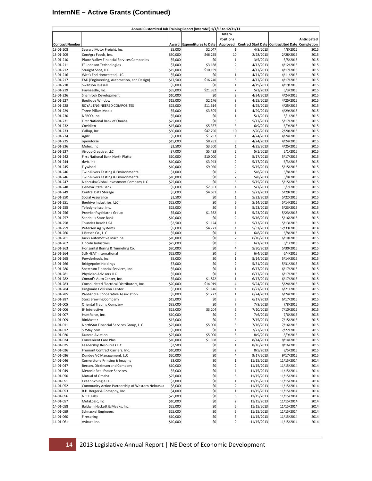### **InternNE – Active Grants (Continued)**

|                        |                                                  |          | Annual Customized Job Training Report (InternNE) 1/1/13 to 12/31/13 |                         |                                       |            |             |
|------------------------|--------------------------------------------------|----------|---------------------------------------------------------------------|-------------------------|---------------------------------------|------------|-------------|
|                        |                                                  |          |                                                                     | Intern                  |                                       |            |             |
|                        |                                                  |          |                                                                     | <b>Positions</b>        |                                       |            | Anticipated |
| <b>Contract Number</b> |                                                  | Award    | <b>Expenditures to Date</b>                                         | Approved                | Contract Start Date Contract End Date |            | Completion  |
| 13-01-208              | Seward Motor Freight, Inc.                       | \$5,000  | \$2,047                                                             | $\mathbf{1}$            | 4/8/2013                              | 4/8/2015   | 2015        |
| 13-01-209              | ConAgra Foods, Inc.                              | \$50,000 | \$46,255                                                            | 10                      | 2/28/2013                             | 2/28/2015  | 2015        |
| 13-01-210              | Platte Valley Financial Services Companies       | \$5,000  | \$0                                                                 | $\mathbf{1}$            | 3/5/2013                              | 3/5/2015   | 2015        |
| 13-01-211              | EF Johnson Technologies                          | \$7,000  | \$3,188                                                             | $\overline{2}$          | 4/12/2013                             | 4/12/2015  | 2015        |
| 13-01-212              | Straight Shot, LLC                               | \$15,000 | \$10,159                                                            | $\overline{\mathbf{3}}$ | 4/17/2013                             | 4/17/2015  | 2015        |
| 13-01-216              | Witt's End Homestead, LLC                        | \$5,000  | \$0                                                                 | $\mathbf{1}$            | 4/11/2013                             | 4/11/2015  | 2015        |
| 13-01-217              | EAD (Engineering, Automation, and Design)        | \$17,500 | \$16,240                                                            | 5                       | 4/17/2013                             | 4/17/2015  | 2015        |
| 13-01-218              | Swanson Russell                                  | \$5,000  | \$0                                                                 | $\mathbf{1}$            | 4/19/2013                             | 4/19/2015  | 2015        |
| 13-01-219              | Hayneedle, Inc.                                  | \$35,000 | \$21,382                                                            | $\overline{7}$          | 5/3/2013                              | 5/3/2015   | 2015        |
| 13-01-226              | Shamrock Development                             | \$10,000 | \$0                                                                 | $\overline{2}$          | 4/24/2013                             | 4/24/2015  | 2015        |
| 13-01-227              | <b>Boutique Window</b>                           | \$15,000 | \$2,176                                                             | 3                       | 4/25/2013                             | 4/25/2015  | 2015        |
| 13-01-228              | ROYAL ENGINEERED COMPOSITES                      | \$25,000 | \$11,614                                                            | 5                       | 4/25/2013                             | 4/25/2015  | 2015        |
| 13-01-229              | Three Pillars Media                              | \$5,000  | \$3,505                                                             | $\mathbf{1}$            | 4/29/2013                             | 4/29/2015  | 2015        |
| 13-01-230              | NEBCO, Inc.                                      | \$5,000  | \$0                                                                 | $\mathbf{1}$            | 5/1/2013                              | 5/1/2015   | 2015        |
| 13-01-231              | First National Bank of Omaha                     | \$25,000 | \$0                                                                 | 5                       | 5/17/2013                             | 5/17/2015  | 2015        |
| 13-01-232              | Covidien                                         | \$15,000 | \$5,357                                                             | 3                       | 6/9/2013                              | 6/9/2015   | 2015        |
|                        |                                                  |          |                                                                     | 10                      |                                       |            | 2015        |
| 13-01-233              | Gallup, Inc.                                     | \$50,000 | \$47,796                                                            |                         | 2/20/2013                             | 2/20/2015  |             |
| 13-01-234              | Agilx                                            | \$5,000  | \$1,297                                                             | $\mathbf{1}$            | 4/24/2013                             | 4/24/2015  | 2015        |
| 13-01-235              | opendorse                                        | \$15,000 | \$8,281                                                             | 3                       | 4/24/2013                             | 4/24/2015  | 2015        |
| 13-01-236              | Molex, Inc                                       | \$3,500  | \$3,500                                                             | $\mathbf{1}$            | 4/25/2013                             | 4/25/2015  | 2015        |
| 13-01-237              | iGroup Creative, LLC                             | \$7,000  | \$5,433                                                             | $\overline{2}$          | 5/1/2013                              | 5/1/2015   | 2015        |
| 13-01-242              | First National Bank North Platte                 | \$10,000 | \$10,000                                                            | $\overline{2}$          | 5/17/2013                             | 5/17/2015  | 2015        |
| 13-01-244              | dwb, inc                                         | \$10,000 | \$3,943                                                             | $\overline{2}$          | 5/17/2013                             | 6/3/2015   | 2015        |
| 13-01-245              | Flywheel                                         | \$10,000 | \$9,020                                                             | $\overline{2}$          | 5/15/2013                             | 5/15/2015  | 2015        |
| 13-01-246              | Twin Rivers Testing & Environmental              | \$1,000  | \$0                                                                 | $\overline{2}$          | 5/8/2013                              | 5/8/2015   | 2015        |
| 13-01-246              | Twin Rivers Testing & Environmental              | \$10,000 | \$0                                                                 | $\overline{2}$          | 5/8/2013                              | 5/8/2015   | 2015        |
| 13-01-247              | Nebraska Global Investment Company LLC           | \$25,000 | \$0                                                                 | 5                       | 5/15/2013                             | 5/15/2015  | 2015        |
| 13-01-248              | Geneva State Bank                                | \$5,000  | \$2,393                                                             | $\mathbf 1$             | 5/7/2013                              | 5/7/2015   | 2015        |
| 13-01-249              | Central Data Storage                             | \$5,000  | \$4,681                                                             | $\mathbf 1$             | 5/21/2013                             | 5/29/2015  | 2015        |
| 13-01-250              | Social Assurance                                 | \$3,500  | \$0                                                                 | $\mathbf{1}$            | 5/22/2013                             | 5/22/2015  | 2015        |
| 13-01-251              | Beehive Industries, LLC                          | \$25,000 | \$0                                                                 | 5                       | 5/14/2013                             | 5/14/2015  | 2015        |
| 13-01-255              | Teledyne Isco, Inc.                              | \$25,000 | \$0                                                                 | 5                       | 5/23/2013                             | 5/23/2015  | 2015        |
| 13-01-256              | Premier Psychiatric Group                        | \$5,000  | \$1,362                                                             | $\mathbf{1}$            | 5/23/2013                             | 5/23/2015  | 2015        |
| 13-01-257              | Sandhills State Bank                             | \$10,000 | \$0                                                                 | $\overline{2}$          | 5/16/2013                             | 5/16/2015  | 2015        |
| 13-01-258              | Thunder Beach USA                                | \$3,500  | \$1,124                                                             | $\mathbf{1}$            | 5/13/2013                             | 5/13/2015  | 2015        |
| 13-01-259              | Petersen Ag Systems                              | \$5,000  | \$4,721                                                             | $\mathbf{1}$            | 5/31/2013                             | 12/30/2013 | 2014        |
| 13-01-260              | J.Brasch Co., LLC                                | \$5,000  | \$0                                                                 | $\mathbf{1}$            | 6/8/2013                              | 6/8/2015   | 2015        |
| 13-01-261              | Jacks Automotive Machine                         | \$10,000 | \$0                                                                 | $\overline{2}$          | 6/10/2013                             | 6/10/2015  | 2015        |
|                        |                                                  |          | \$0                                                                 | 5                       |                                       |            | 2015        |
| 13-01-262              | Lincoln Industries                               | \$25,000 | \$0                                                                 | $\overline{4}$          | 6/1/2013                              | 6/1/2015   |             |
| 13-01-263              | Horizontal Boring & Tunneling Co.                | \$20,000 |                                                                     |                         | 5/30/2013                             | 5/30/2015  | 2015        |
| 13-01-264              | SUNHEAT International                            | \$25,000 | \$0                                                                 | 5                       | 6/4/2013                              | 6/4/2015   | 2015        |
| 13-01-265              | Powderhook, Inc.                                 | \$5,000  | \$0                                                                 | $\mathbf{1}$            | 5/14/2013                             | 5/14/2015  | 2015        |
| 13-01-266              | <b>Bridgepoint Holdings</b>                      | \$7,000  | \$0                                                                 | $\overline{2}$          | 5/31/2013                             | 5/31/2015  | 2015        |
| 13-01-280              | Spectrum Financial Services, Inc.                | \$5,000  | \$0                                                                 | $\mathbf{1}$            | 6/17/2013                             | 6/17/2015  | 2015        |
| 13-01-281              | Physician Advisors LLC                           | \$5,000  | \$0                                                                 | $\mathbf{1}$            | 6/17/2013                             | 6/17/2015  | 2015        |
| 13-01-282              | Conrad's Auto Center, Inc.                       | \$5,000  | \$1,872                                                             | $\mathbf{1}$            | 6/17/2013                             | 6/17/2015  | 2015        |
| 13-01-283              | Consolidated Electrical Distributors, Inc.       | \$20,000 | \$14,919                                                            | $\overline{4}$          | 5/24/2013                             | 5/24/2015  | 2015        |
| 13-01-284              | Dingmans Collision Center                        | \$5,000  | \$1,146                                                             | $\mathbf{1}$            | 6/21/2013                             | 6/21/2015  | 2015        |
| 13-01-285              | Panhandle Cooperative Association                | \$5,000  | \$1,222                                                             | $\mathbf{1}$            | 6/24/2013                             | 6/24/2015  | 2015        |
| 13-01-287              | <b>Storz Brewing Company</b>                     | \$15,000 | Ş0                                                                  | 3                       | 6/17/2013                             | 6/17/2015  | 2015        |
| 14-01-005              | <b>Oriental Trading Company</b>                  | \$35,000 | \$0                                                                 | $\overline{7}$          | 7/8/2013                              | 7/8/2015   | 2015        |
| 14-01-006              | B <sup>2</sup> Interactive                       | \$25,000 | \$3,204                                                             | $5\overline{)}$         | 7/10/2013                             | 7/10/2015  | 2015        |
| 14-01-007              | HuntForce, Inc.                                  | \$10,000 | \$0                                                                 | $\overline{2}$          | 7/6/2013                              | 7/6/2015   | 2015        |
| 14-01-009              | BinMaster                                        | \$15,000 | \$0                                                                 | $\overline{\mathbf{3}}$ | 7/15/2013                             | 7/15/2015  | 2015        |
| 14-01-011              | NorthStar Financial Services Group, LLC          | \$25,000 | \$5,000                                                             | $\sf S$                 | 7/16/2013                             | 7/16/2015  | 2015        |
| 14-01-012              | SitStay.com                                      | \$5,000  | \$0                                                                 | $\mathbf 1$             | 7/22/2013                             | 7/22/2015  | 2015        |
| 14-01-020              | Duncan Aviation                                  | \$25,000 | \$5,000                                                             | $\sf 5$                 | 8/9/2013                              | 8/9/2015   | 2015        |
| 14-01-024              | <b>Convenient Care Plus</b>                      | \$10,000 | \$1,398                                                             | $\overline{2}$          | 8/14/2013                             | 8/14/2015  | 2015        |
| 14-01-025              | Leadership Resources LLC                         | \$3,500  | \$0                                                                 | $\mathbf{1}$            | 8/16/2013                             | 8/16/2015  | 2015        |
| 14-01-026              | Fremont Contract Carriers, Inc.                  | \$10,000 | \$0                                                                 | $2 \vert$               | 8/5/2013                              | 8/5/2015   | 2015        |
| 14-01-036              | Dundee VC Management, LLC                        | \$20,000 | \$0                                                                 | $\overline{4}$          | 9/17/2013                             | 9/17/2015  | 2015        |
| 14-01-046              | Cornerstone Printing & Imaging                   | \$3,000  | \$0                                                                 | $\mathbf 1$             | 11/15/2013                            | 11/15/2014 | 2014        |
| 14-01-047              | Becton, Dickinson and Company                    | \$10,000 | \$0                                                                 | $\overline{2}$          | 11/15/2013                            | 11/15/2014 | 2014        |
| 14-01-049              |                                                  |          | \$0                                                                 | $\mathbf 1$             |                                       |            | 2014        |
|                        | Metonic Real Estate Services                     | \$5,000  |                                                                     | $\overline{5}$          | 11/15/2013                            | 11/15/2014 |             |
| 14-01-050              | Mutual of Omaha                                  | \$25,000 | \$0                                                                 |                         | 11/15/2013                            | 11/15/2014 | 2014        |
| 14-01-051              | Green Schingle LLC                               | \$3,000  | \$0                                                                 | $\,1$                   | 11/15/2013                            | 11/15/2014 | 2014        |
| 14-01-052              | Community Action Partnership of Western Nebraska | \$8,000  | \$0                                                                 | $\overline{2}$          | 11/15/2013                            | 11/15/2014 | 2014        |
| 14-01-053              | R.H. Berger & Comapny, Inc.                      | \$4,000  | \$0                                                                 | $\,1$                   | 11/15/2013                            | 11/15/2014 | 2014        |
| 14-01-056              | NCEE Labs                                        | \$25,000 | \$0                                                                 | $\overline{5}$          | 11/15/2013                            | 11/15/2014 | 2014        |
| 14-01-057              | MetaLogic, Inc                                   | \$10,000 | \$0                                                                 | $\overline{2}$          | 11/15/2013                            | 11/15/2014 | 2014        |
| 14-01-058              | Baldwin Hackett & Meeks, Inc.                    | \$25,000 | \$0                                                                 | 5                       | 11/15/2013                            | 11/15/2014 | 2014        |
| 14-01-059              | Schnackel Engineers                              | \$25,000 | \$0                                                                 | $\overline{5}$          | 11/15/2013                            | 11/15/2014 | 2014        |
| 14-01-060              | Firespring                                       | \$10,000 | \$0                                                                 | 5                       | 11/15/2013                            | 11/15/2014 | 2014        |
| 14-01-061              | Aviture Inc.                                     | \$10,000 | \$0                                                                 | $\overline{2}$          | 11/15/2013                            | 11/15/2014 | 2014        |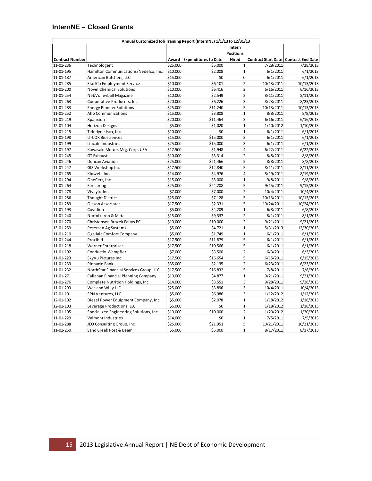#### **InternNE – Closed Grants**

| Intern<br><b>Positions</b><br><b>Contract Number</b><br>Award Expenditures to Date<br>Hired<br>Contract Start Date   Contract End Date<br>\$25,000<br>$\mathbf{1}$<br>7/28/2011<br>7/28/2013<br>11-01-236<br>Technologent<br>\$5,000<br>$\mathbf 1$<br>\$10,000<br>\$2,008<br>6/1/2011<br>6/1/2013<br>11-01-195<br>Hamilton Communications/Nedelco, Inc.<br>\$15,000<br>\$0<br>$\pmb{0}$<br>6/1/2011<br>6/1/2013<br>11-01-187<br>American Butchers, LLC<br>$\overline{2}$<br>\$6,101<br>10/13/2011<br>11-01-285<br><b>StaffCo Employment Service</b><br>\$10,000<br>10/13/2013<br>$\overline{2}$<br>\$10,000<br>\$6,416<br>6/16/2011<br>6/16/2013<br>11-01-200<br><b>Novel Chemical Solutions</b><br>\$10,000<br>\$2,549<br>$\overline{2}$<br>8/11/2011<br>8/11/2013<br>11-01-254<br>NebVolleyball Magazine<br>$\overline{3}$<br>11-01-263<br>\$20,000<br>\$6,226<br>8/23/2011<br>8/23/2013<br>Cooperative Producers, Inc.<br>5<br>11-01-283<br>\$25,000<br>\$11,240<br>10/13/2011<br>10/13/2013<br><b>Energy Pioneer Solutions</b><br>$\mathbf{1}$<br>11-01-252<br>Allo Communications<br>\$15,000<br>\$3,808<br>8/8/2011<br>8/8/2013<br>\$20,000<br>$\overline{3}$<br>11-01-219<br>\$11,464<br>6/16/2011<br>6/16/2013<br>Xpanxion<br>$\mathbf{1}$<br>\$5,000<br>\$1,020<br>1/10/2012<br>1/10/2013<br>12-01-104<br><b>Horizon Designs</b><br>\$0<br>$\mathbf{1}$<br>11-01-215<br>\$10,000<br>6/1/2011<br>6/1/2013<br>Teledyne Isco, Inc.<br>$\overline{\mathbf{3}}$<br>11-01-198<br>\$15,000<br>\$15,000<br>6/1/2011<br>6/1/2013<br><b>LI-COR Biosciences</b><br>$\overline{3}$<br>\$15,000<br>\$25,000<br>6/1/2011<br>6/1/2013<br>11-01-199<br>Lincoln Industries<br>$\overline{4}$<br>11-01-197<br>Kawasaki Motors Mfg. Corp, USA<br>\$17,500<br>\$1,948<br>6/22/2011<br>6/22/2013<br>$\overline{2}$<br>\$3,314<br>11-01-245<br><b>GT Exhaust</b><br>\$10,000<br>8/8/2011<br>8/8/2013<br>\$21,466<br>5<br>11-01-246<br>Duncan Aviation<br>\$25,000<br>8/8/2011<br>8/8/2013<br>5<br>\$12,840<br>11-01-247<br>GIS Workshop Inc<br>\$17,500<br>8/11/2011<br>8/11/2013<br>$\overline{4}$<br>11-01-265<br>Kidwell, Inc.<br>\$14,000<br>\$4,976<br>8/19/2011<br>8/19/2013<br>$\mathbf{1}$<br>\$5,000<br>11-01-294<br>\$15,000<br>9/8/2011<br>9/8/2013<br>OneCert, Inc.<br>\$25,000<br>5<br>9/15/2013<br>11-01-264<br>Firespring<br>\$24,208<br>9/15/2011<br>$\overline{2}$<br>\$7,000<br>\$7,000<br>10/4/2013<br>11-01-278<br>Vivayic, Inc.<br>10/4/2011<br>5<br>\$25,000<br>\$7,128<br>10/13/2011<br>10/13/2013<br>11-01-286<br><b>Thought District</b><br>5<br>\$17,500<br>11-01-289<br><b>Olsson Associates</b><br>\$2,331<br>10/24/2011<br>10/24/2013<br>$\mathbf{1}$<br>Covidien<br>\$5,000<br>\$4,209<br>6/8/2011<br>6/8/2013<br>11-01-193<br>$\overline{2}$<br>Norfolk Iron & Metal<br>\$15,000<br>\$9,337<br>8/1/2011<br>8/1/2013<br>11-01-240<br>$\overline{2}$<br>11-01-270<br>Christensen Brozek Faltys PC<br>\$10,000<br>\$10,000<br>9/21/2011<br>9/21/2013<br>$\mathbf 1$<br>13-01-259<br>Petersen Ag Systems<br>\$5,000<br>\$4,721<br>5/31/2013<br>12/30/2013<br>$\mathbf 1$<br>\$5,000<br>\$1,749<br>6/1/2011<br>6/1/2013<br>11-01-210<br>Ogallala Comfort Company<br>\$17,500<br>\$11,879<br>5<br>11-01-244<br>Proxibid<br>6/1/2011<br>6/1/2013<br>\$17,500<br>5<br>11-01-218<br><b>Werner Enterprises</b><br>\$10,566<br>6/1/2011<br>6/1/2013<br>\$7,000<br>$\overline{2}$<br>6/3/2011<br>6/3/2013<br>11-01-192<br>Conductix-Wampfler<br>\$3,500<br>\$17,500<br>\$16,654<br>5<br>6/15/2011<br>6/15/2013<br>11-01-223<br>SkyVu Pictures Inc<br>$\overline{2}$<br>\$35,000<br>\$2,135<br>6/23/2011<br>6/23/2013<br>11-01-233<br>Pinnacle Bank<br>5<br>NorthStar Financial Services Group, LLC<br>\$16,832<br>7/8/2011<br>7/8/2013<br>11-01-232<br>\$17,500<br>\$4,877<br>$\mathbf{1}$<br>11-01-271<br>Callahan Financial Planning Company<br>\$10,000<br>9/21/2011<br>9/21/2013<br>3<br>\$14,000<br>\$3,551<br>9/28/2011<br>9/28/2013<br>11-01-276<br>Complete Nutrition Holdings, Inc.<br>$\overline{3}$<br>\$25,000<br>\$3,896<br>10/4/2013<br>11-01-293<br>Wes and Willy LLC<br>10/4/2011<br>$\overline{3}$<br>12-01-101<br>SPN Ventures, LLC<br>\$5,000<br>\$6,986<br>1/12/2012<br>1/12/2013<br>12-01-102<br>Diesel Power Equipment Company, Inc.<br>\$5,000<br>\$2,078<br>$\mathbf{1}$<br>1/18/2012<br>1/18/2013<br>$\mathbf 1$<br>12-01-103<br>Leverage Productions, LLC<br>\$5,000<br>\$0<br>1/18/2013<br>1/18/2012<br>$\overline{2}$<br>12-01-105<br>Specialized Engineering Solutions, Inc.<br>\$10,000<br>\$10,000<br>1/20/2012<br>1/20/2013<br>\$0<br>$\mathbf{1}$<br>11-01-229<br>Valmont Industries<br>\$14,000<br>7/5/2011<br>7/5/2013<br>\$25,000<br>5<br>JEO Consulting Group, Inc.<br>\$21,951<br>10/21/2011<br>10/21/2013<br>11-01-288<br>$\mathbf{1}$<br>Sand Creek Post & Beam<br>\$5,000<br>\$5,000<br>8/17/2011<br>8/17/2013<br>11-01-250 | Annual Customized Job Training Report (InternNE) 1/1/13 to 12/31/13 |  |  |  |
|-----------------------------------------------------------------------------------------------------------------------------------------------------------------------------------------------------------------------------------------------------------------------------------------------------------------------------------------------------------------------------------------------------------------------------------------------------------------------------------------------------------------------------------------------------------------------------------------------------------------------------------------------------------------------------------------------------------------------------------------------------------------------------------------------------------------------------------------------------------------------------------------------------------------------------------------------------------------------------------------------------------------------------------------------------------------------------------------------------------------------------------------------------------------------------------------------------------------------------------------------------------------------------------------------------------------------------------------------------------------------------------------------------------------------------------------------------------------------------------------------------------------------------------------------------------------------------------------------------------------------------------------------------------------------------------------------------------------------------------------------------------------------------------------------------------------------------------------------------------------------------------------------------------------------------------------------------------------------------------------------------------------------------------------------------------------------------------------------------------------------------------------------------------------------------------------------------------------------------------------------------------------------------------------------------------------------------------------------------------------------------------------------------------------------------------------------------------------------------------------------------------------------------------------------------------------------------------------------------------------------------------------------------------------------------------------------------------------------------------------------------------------------------------------------------------------------------------------------------------------------------------------------------------------------------------------------------------------------------------------------------------------------------------------------------------------------------------------------------------------------------------------------------------------------------------------------------------------------------------------------------------------------------------------------------------------------------------------------------------------------------------------------------------------------------------------------------------------------------------------------------------------------------------------------------------------------------------------------------------------------------------------------------------------------------------------------------------------------------------------------------------------------------------------------------------------------------------------------------------------------------------------------------------------------------------------------------------------------------------------------------------------------------------------------------------------------------------------------------------------------------------------------------------------------------------------------------------------------------------------------------------------------------------------------------------------------------------------------------------------------------------------------------------------------------------------------------------------------------------------------------------------------------------------------------------------------------------------------------------------------------------------------------------------------------------------------------------------------------------------------------------------------------------------------------------------------------------------------------------------------------|---------------------------------------------------------------------|--|--|--|
|                                                                                                                                                                                                                                                                                                                                                                                                                                                                                                                                                                                                                                                                                                                                                                                                                                                                                                                                                                                                                                                                                                                                                                                                                                                                                                                                                                                                                                                                                                                                                                                                                                                                                                                                                                                                                                                                                                                                                                                                                                                                                                                                                                                                                                                                                                                                                                                                                                                                                                                                                                                                                                                                                                                                                                                                                                                                                                                                                                                                                                                                                                                                                                                                                                                                                                                                                                                                                                                                                                                                                                                                                                                                                                                                                                                                                                                                                                                                                                                                                                                                                                                                                                                                                                                                                                                                                                                                                                                                                                                                                                                                                                                                                                                                                                                                                                                                             |                                                                     |  |  |  |
|                                                                                                                                                                                                                                                                                                                                                                                                                                                                                                                                                                                                                                                                                                                                                                                                                                                                                                                                                                                                                                                                                                                                                                                                                                                                                                                                                                                                                                                                                                                                                                                                                                                                                                                                                                                                                                                                                                                                                                                                                                                                                                                                                                                                                                                                                                                                                                                                                                                                                                                                                                                                                                                                                                                                                                                                                                                                                                                                                                                                                                                                                                                                                                                                                                                                                                                                                                                                                                                                                                                                                                                                                                                                                                                                                                                                                                                                                                                                                                                                                                                                                                                                                                                                                                                                                                                                                                                                                                                                                                                                                                                                                                                                                                                                                                                                                                                                             |                                                                     |  |  |  |
|                                                                                                                                                                                                                                                                                                                                                                                                                                                                                                                                                                                                                                                                                                                                                                                                                                                                                                                                                                                                                                                                                                                                                                                                                                                                                                                                                                                                                                                                                                                                                                                                                                                                                                                                                                                                                                                                                                                                                                                                                                                                                                                                                                                                                                                                                                                                                                                                                                                                                                                                                                                                                                                                                                                                                                                                                                                                                                                                                                                                                                                                                                                                                                                                                                                                                                                                                                                                                                                                                                                                                                                                                                                                                                                                                                                                                                                                                                                                                                                                                                                                                                                                                                                                                                                                                                                                                                                                                                                                                                                                                                                                                                                                                                                                                                                                                                                                             |                                                                     |  |  |  |
|                                                                                                                                                                                                                                                                                                                                                                                                                                                                                                                                                                                                                                                                                                                                                                                                                                                                                                                                                                                                                                                                                                                                                                                                                                                                                                                                                                                                                                                                                                                                                                                                                                                                                                                                                                                                                                                                                                                                                                                                                                                                                                                                                                                                                                                                                                                                                                                                                                                                                                                                                                                                                                                                                                                                                                                                                                                                                                                                                                                                                                                                                                                                                                                                                                                                                                                                                                                                                                                                                                                                                                                                                                                                                                                                                                                                                                                                                                                                                                                                                                                                                                                                                                                                                                                                                                                                                                                                                                                                                                                                                                                                                                                                                                                                                                                                                                                                             |                                                                     |  |  |  |
|                                                                                                                                                                                                                                                                                                                                                                                                                                                                                                                                                                                                                                                                                                                                                                                                                                                                                                                                                                                                                                                                                                                                                                                                                                                                                                                                                                                                                                                                                                                                                                                                                                                                                                                                                                                                                                                                                                                                                                                                                                                                                                                                                                                                                                                                                                                                                                                                                                                                                                                                                                                                                                                                                                                                                                                                                                                                                                                                                                                                                                                                                                                                                                                                                                                                                                                                                                                                                                                                                                                                                                                                                                                                                                                                                                                                                                                                                                                                                                                                                                                                                                                                                                                                                                                                                                                                                                                                                                                                                                                                                                                                                                                                                                                                                                                                                                                                             |                                                                     |  |  |  |
|                                                                                                                                                                                                                                                                                                                                                                                                                                                                                                                                                                                                                                                                                                                                                                                                                                                                                                                                                                                                                                                                                                                                                                                                                                                                                                                                                                                                                                                                                                                                                                                                                                                                                                                                                                                                                                                                                                                                                                                                                                                                                                                                                                                                                                                                                                                                                                                                                                                                                                                                                                                                                                                                                                                                                                                                                                                                                                                                                                                                                                                                                                                                                                                                                                                                                                                                                                                                                                                                                                                                                                                                                                                                                                                                                                                                                                                                                                                                                                                                                                                                                                                                                                                                                                                                                                                                                                                                                                                                                                                                                                                                                                                                                                                                                                                                                                                                             |                                                                     |  |  |  |
|                                                                                                                                                                                                                                                                                                                                                                                                                                                                                                                                                                                                                                                                                                                                                                                                                                                                                                                                                                                                                                                                                                                                                                                                                                                                                                                                                                                                                                                                                                                                                                                                                                                                                                                                                                                                                                                                                                                                                                                                                                                                                                                                                                                                                                                                                                                                                                                                                                                                                                                                                                                                                                                                                                                                                                                                                                                                                                                                                                                                                                                                                                                                                                                                                                                                                                                                                                                                                                                                                                                                                                                                                                                                                                                                                                                                                                                                                                                                                                                                                                                                                                                                                                                                                                                                                                                                                                                                                                                                                                                                                                                                                                                                                                                                                                                                                                                                             |                                                                     |  |  |  |
|                                                                                                                                                                                                                                                                                                                                                                                                                                                                                                                                                                                                                                                                                                                                                                                                                                                                                                                                                                                                                                                                                                                                                                                                                                                                                                                                                                                                                                                                                                                                                                                                                                                                                                                                                                                                                                                                                                                                                                                                                                                                                                                                                                                                                                                                                                                                                                                                                                                                                                                                                                                                                                                                                                                                                                                                                                                                                                                                                                                                                                                                                                                                                                                                                                                                                                                                                                                                                                                                                                                                                                                                                                                                                                                                                                                                                                                                                                                                                                                                                                                                                                                                                                                                                                                                                                                                                                                                                                                                                                                                                                                                                                                                                                                                                                                                                                                                             |                                                                     |  |  |  |
|                                                                                                                                                                                                                                                                                                                                                                                                                                                                                                                                                                                                                                                                                                                                                                                                                                                                                                                                                                                                                                                                                                                                                                                                                                                                                                                                                                                                                                                                                                                                                                                                                                                                                                                                                                                                                                                                                                                                                                                                                                                                                                                                                                                                                                                                                                                                                                                                                                                                                                                                                                                                                                                                                                                                                                                                                                                                                                                                                                                                                                                                                                                                                                                                                                                                                                                                                                                                                                                                                                                                                                                                                                                                                                                                                                                                                                                                                                                                                                                                                                                                                                                                                                                                                                                                                                                                                                                                                                                                                                                                                                                                                                                                                                                                                                                                                                                                             |                                                                     |  |  |  |
|                                                                                                                                                                                                                                                                                                                                                                                                                                                                                                                                                                                                                                                                                                                                                                                                                                                                                                                                                                                                                                                                                                                                                                                                                                                                                                                                                                                                                                                                                                                                                                                                                                                                                                                                                                                                                                                                                                                                                                                                                                                                                                                                                                                                                                                                                                                                                                                                                                                                                                                                                                                                                                                                                                                                                                                                                                                                                                                                                                                                                                                                                                                                                                                                                                                                                                                                                                                                                                                                                                                                                                                                                                                                                                                                                                                                                                                                                                                                                                                                                                                                                                                                                                                                                                                                                                                                                                                                                                                                                                                                                                                                                                                                                                                                                                                                                                                                             |                                                                     |  |  |  |
|                                                                                                                                                                                                                                                                                                                                                                                                                                                                                                                                                                                                                                                                                                                                                                                                                                                                                                                                                                                                                                                                                                                                                                                                                                                                                                                                                                                                                                                                                                                                                                                                                                                                                                                                                                                                                                                                                                                                                                                                                                                                                                                                                                                                                                                                                                                                                                                                                                                                                                                                                                                                                                                                                                                                                                                                                                                                                                                                                                                                                                                                                                                                                                                                                                                                                                                                                                                                                                                                                                                                                                                                                                                                                                                                                                                                                                                                                                                                                                                                                                                                                                                                                                                                                                                                                                                                                                                                                                                                                                                                                                                                                                                                                                                                                                                                                                                                             |                                                                     |  |  |  |
|                                                                                                                                                                                                                                                                                                                                                                                                                                                                                                                                                                                                                                                                                                                                                                                                                                                                                                                                                                                                                                                                                                                                                                                                                                                                                                                                                                                                                                                                                                                                                                                                                                                                                                                                                                                                                                                                                                                                                                                                                                                                                                                                                                                                                                                                                                                                                                                                                                                                                                                                                                                                                                                                                                                                                                                                                                                                                                                                                                                                                                                                                                                                                                                                                                                                                                                                                                                                                                                                                                                                                                                                                                                                                                                                                                                                                                                                                                                                                                                                                                                                                                                                                                                                                                                                                                                                                                                                                                                                                                                                                                                                                                                                                                                                                                                                                                                                             |                                                                     |  |  |  |
|                                                                                                                                                                                                                                                                                                                                                                                                                                                                                                                                                                                                                                                                                                                                                                                                                                                                                                                                                                                                                                                                                                                                                                                                                                                                                                                                                                                                                                                                                                                                                                                                                                                                                                                                                                                                                                                                                                                                                                                                                                                                                                                                                                                                                                                                                                                                                                                                                                                                                                                                                                                                                                                                                                                                                                                                                                                                                                                                                                                                                                                                                                                                                                                                                                                                                                                                                                                                                                                                                                                                                                                                                                                                                                                                                                                                                                                                                                                                                                                                                                                                                                                                                                                                                                                                                                                                                                                                                                                                                                                                                                                                                                                                                                                                                                                                                                                                             |                                                                     |  |  |  |
|                                                                                                                                                                                                                                                                                                                                                                                                                                                                                                                                                                                                                                                                                                                                                                                                                                                                                                                                                                                                                                                                                                                                                                                                                                                                                                                                                                                                                                                                                                                                                                                                                                                                                                                                                                                                                                                                                                                                                                                                                                                                                                                                                                                                                                                                                                                                                                                                                                                                                                                                                                                                                                                                                                                                                                                                                                                                                                                                                                                                                                                                                                                                                                                                                                                                                                                                                                                                                                                                                                                                                                                                                                                                                                                                                                                                                                                                                                                                                                                                                                                                                                                                                                                                                                                                                                                                                                                                                                                                                                                                                                                                                                                                                                                                                                                                                                                                             |                                                                     |  |  |  |
|                                                                                                                                                                                                                                                                                                                                                                                                                                                                                                                                                                                                                                                                                                                                                                                                                                                                                                                                                                                                                                                                                                                                                                                                                                                                                                                                                                                                                                                                                                                                                                                                                                                                                                                                                                                                                                                                                                                                                                                                                                                                                                                                                                                                                                                                                                                                                                                                                                                                                                                                                                                                                                                                                                                                                                                                                                                                                                                                                                                                                                                                                                                                                                                                                                                                                                                                                                                                                                                                                                                                                                                                                                                                                                                                                                                                                                                                                                                                                                                                                                                                                                                                                                                                                                                                                                                                                                                                                                                                                                                                                                                                                                                                                                                                                                                                                                                                             |                                                                     |  |  |  |
|                                                                                                                                                                                                                                                                                                                                                                                                                                                                                                                                                                                                                                                                                                                                                                                                                                                                                                                                                                                                                                                                                                                                                                                                                                                                                                                                                                                                                                                                                                                                                                                                                                                                                                                                                                                                                                                                                                                                                                                                                                                                                                                                                                                                                                                                                                                                                                                                                                                                                                                                                                                                                                                                                                                                                                                                                                                                                                                                                                                                                                                                                                                                                                                                                                                                                                                                                                                                                                                                                                                                                                                                                                                                                                                                                                                                                                                                                                                                                                                                                                                                                                                                                                                                                                                                                                                                                                                                                                                                                                                                                                                                                                                                                                                                                                                                                                                                             |                                                                     |  |  |  |
|                                                                                                                                                                                                                                                                                                                                                                                                                                                                                                                                                                                                                                                                                                                                                                                                                                                                                                                                                                                                                                                                                                                                                                                                                                                                                                                                                                                                                                                                                                                                                                                                                                                                                                                                                                                                                                                                                                                                                                                                                                                                                                                                                                                                                                                                                                                                                                                                                                                                                                                                                                                                                                                                                                                                                                                                                                                                                                                                                                                                                                                                                                                                                                                                                                                                                                                                                                                                                                                                                                                                                                                                                                                                                                                                                                                                                                                                                                                                                                                                                                                                                                                                                                                                                                                                                                                                                                                                                                                                                                                                                                                                                                                                                                                                                                                                                                                                             |                                                                     |  |  |  |
|                                                                                                                                                                                                                                                                                                                                                                                                                                                                                                                                                                                                                                                                                                                                                                                                                                                                                                                                                                                                                                                                                                                                                                                                                                                                                                                                                                                                                                                                                                                                                                                                                                                                                                                                                                                                                                                                                                                                                                                                                                                                                                                                                                                                                                                                                                                                                                                                                                                                                                                                                                                                                                                                                                                                                                                                                                                                                                                                                                                                                                                                                                                                                                                                                                                                                                                                                                                                                                                                                                                                                                                                                                                                                                                                                                                                                                                                                                                                                                                                                                                                                                                                                                                                                                                                                                                                                                                                                                                                                                                                                                                                                                                                                                                                                                                                                                                                             |                                                                     |  |  |  |
|                                                                                                                                                                                                                                                                                                                                                                                                                                                                                                                                                                                                                                                                                                                                                                                                                                                                                                                                                                                                                                                                                                                                                                                                                                                                                                                                                                                                                                                                                                                                                                                                                                                                                                                                                                                                                                                                                                                                                                                                                                                                                                                                                                                                                                                                                                                                                                                                                                                                                                                                                                                                                                                                                                                                                                                                                                                                                                                                                                                                                                                                                                                                                                                                                                                                                                                                                                                                                                                                                                                                                                                                                                                                                                                                                                                                                                                                                                                                                                                                                                                                                                                                                                                                                                                                                                                                                                                                                                                                                                                                                                                                                                                                                                                                                                                                                                                                             |                                                                     |  |  |  |
|                                                                                                                                                                                                                                                                                                                                                                                                                                                                                                                                                                                                                                                                                                                                                                                                                                                                                                                                                                                                                                                                                                                                                                                                                                                                                                                                                                                                                                                                                                                                                                                                                                                                                                                                                                                                                                                                                                                                                                                                                                                                                                                                                                                                                                                                                                                                                                                                                                                                                                                                                                                                                                                                                                                                                                                                                                                                                                                                                                                                                                                                                                                                                                                                                                                                                                                                                                                                                                                                                                                                                                                                                                                                                                                                                                                                                                                                                                                                                                                                                                                                                                                                                                                                                                                                                                                                                                                                                                                                                                                                                                                                                                                                                                                                                                                                                                                                             |                                                                     |  |  |  |
|                                                                                                                                                                                                                                                                                                                                                                                                                                                                                                                                                                                                                                                                                                                                                                                                                                                                                                                                                                                                                                                                                                                                                                                                                                                                                                                                                                                                                                                                                                                                                                                                                                                                                                                                                                                                                                                                                                                                                                                                                                                                                                                                                                                                                                                                                                                                                                                                                                                                                                                                                                                                                                                                                                                                                                                                                                                                                                                                                                                                                                                                                                                                                                                                                                                                                                                                                                                                                                                                                                                                                                                                                                                                                                                                                                                                                                                                                                                                                                                                                                                                                                                                                                                                                                                                                                                                                                                                                                                                                                                                                                                                                                                                                                                                                                                                                                                                             |                                                                     |  |  |  |
|                                                                                                                                                                                                                                                                                                                                                                                                                                                                                                                                                                                                                                                                                                                                                                                                                                                                                                                                                                                                                                                                                                                                                                                                                                                                                                                                                                                                                                                                                                                                                                                                                                                                                                                                                                                                                                                                                                                                                                                                                                                                                                                                                                                                                                                                                                                                                                                                                                                                                                                                                                                                                                                                                                                                                                                                                                                                                                                                                                                                                                                                                                                                                                                                                                                                                                                                                                                                                                                                                                                                                                                                                                                                                                                                                                                                                                                                                                                                                                                                                                                                                                                                                                                                                                                                                                                                                                                                                                                                                                                                                                                                                                                                                                                                                                                                                                                                             |                                                                     |  |  |  |
|                                                                                                                                                                                                                                                                                                                                                                                                                                                                                                                                                                                                                                                                                                                                                                                                                                                                                                                                                                                                                                                                                                                                                                                                                                                                                                                                                                                                                                                                                                                                                                                                                                                                                                                                                                                                                                                                                                                                                                                                                                                                                                                                                                                                                                                                                                                                                                                                                                                                                                                                                                                                                                                                                                                                                                                                                                                                                                                                                                                                                                                                                                                                                                                                                                                                                                                                                                                                                                                                                                                                                                                                                                                                                                                                                                                                                                                                                                                                                                                                                                                                                                                                                                                                                                                                                                                                                                                                                                                                                                                                                                                                                                                                                                                                                                                                                                                                             |                                                                     |  |  |  |
|                                                                                                                                                                                                                                                                                                                                                                                                                                                                                                                                                                                                                                                                                                                                                                                                                                                                                                                                                                                                                                                                                                                                                                                                                                                                                                                                                                                                                                                                                                                                                                                                                                                                                                                                                                                                                                                                                                                                                                                                                                                                                                                                                                                                                                                                                                                                                                                                                                                                                                                                                                                                                                                                                                                                                                                                                                                                                                                                                                                                                                                                                                                                                                                                                                                                                                                                                                                                                                                                                                                                                                                                                                                                                                                                                                                                                                                                                                                                                                                                                                                                                                                                                                                                                                                                                                                                                                                                                                                                                                                                                                                                                                                                                                                                                                                                                                                                             |                                                                     |  |  |  |
|                                                                                                                                                                                                                                                                                                                                                                                                                                                                                                                                                                                                                                                                                                                                                                                                                                                                                                                                                                                                                                                                                                                                                                                                                                                                                                                                                                                                                                                                                                                                                                                                                                                                                                                                                                                                                                                                                                                                                                                                                                                                                                                                                                                                                                                                                                                                                                                                                                                                                                                                                                                                                                                                                                                                                                                                                                                                                                                                                                                                                                                                                                                                                                                                                                                                                                                                                                                                                                                                                                                                                                                                                                                                                                                                                                                                                                                                                                                                                                                                                                                                                                                                                                                                                                                                                                                                                                                                                                                                                                                                                                                                                                                                                                                                                                                                                                                                             |                                                                     |  |  |  |
|                                                                                                                                                                                                                                                                                                                                                                                                                                                                                                                                                                                                                                                                                                                                                                                                                                                                                                                                                                                                                                                                                                                                                                                                                                                                                                                                                                                                                                                                                                                                                                                                                                                                                                                                                                                                                                                                                                                                                                                                                                                                                                                                                                                                                                                                                                                                                                                                                                                                                                                                                                                                                                                                                                                                                                                                                                                                                                                                                                                                                                                                                                                                                                                                                                                                                                                                                                                                                                                                                                                                                                                                                                                                                                                                                                                                                                                                                                                                                                                                                                                                                                                                                                                                                                                                                                                                                                                                                                                                                                                                                                                                                                                                                                                                                                                                                                                                             |                                                                     |  |  |  |
|                                                                                                                                                                                                                                                                                                                                                                                                                                                                                                                                                                                                                                                                                                                                                                                                                                                                                                                                                                                                                                                                                                                                                                                                                                                                                                                                                                                                                                                                                                                                                                                                                                                                                                                                                                                                                                                                                                                                                                                                                                                                                                                                                                                                                                                                                                                                                                                                                                                                                                                                                                                                                                                                                                                                                                                                                                                                                                                                                                                                                                                                                                                                                                                                                                                                                                                                                                                                                                                                                                                                                                                                                                                                                                                                                                                                                                                                                                                                                                                                                                                                                                                                                                                                                                                                                                                                                                                                                                                                                                                                                                                                                                                                                                                                                                                                                                                                             |                                                                     |  |  |  |
|                                                                                                                                                                                                                                                                                                                                                                                                                                                                                                                                                                                                                                                                                                                                                                                                                                                                                                                                                                                                                                                                                                                                                                                                                                                                                                                                                                                                                                                                                                                                                                                                                                                                                                                                                                                                                                                                                                                                                                                                                                                                                                                                                                                                                                                                                                                                                                                                                                                                                                                                                                                                                                                                                                                                                                                                                                                                                                                                                                                                                                                                                                                                                                                                                                                                                                                                                                                                                                                                                                                                                                                                                                                                                                                                                                                                                                                                                                                                                                                                                                                                                                                                                                                                                                                                                                                                                                                                                                                                                                                                                                                                                                                                                                                                                                                                                                                                             |                                                                     |  |  |  |
|                                                                                                                                                                                                                                                                                                                                                                                                                                                                                                                                                                                                                                                                                                                                                                                                                                                                                                                                                                                                                                                                                                                                                                                                                                                                                                                                                                                                                                                                                                                                                                                                                                                                                                                                                                                                                                                                                                                                                                                                                                                                                                                                                                                                                                                                                                                                                                                                                                                                                                                                                                                                                                                                                                                                                                                                                                                                                                                                                                                                                                                                                                                                                                                                                                                                                                                                                                                                                                                                                                                                                                                                                                                                                                                                                                                                                                                                                                                                                                                                                                                                                                                                                                                                                                                                                                                                                                                                                                                                                                                                                                                                                                                                                                                                                                                                                                                                             |                                                                     |  |  |  |
|                                                                                                                                                                                                                                                                                                                                                                                                                                                                                                                                                                                                                                                                                                                                                                                                                                                                                                                                                                                                                                                                                                                                                                                                                                                                                                                                                                                                                                                                                                                                                                                                                                                                                                                                                                                                                                                                                                                                                                                                                                                                                                                                                                                                                                                                                                                                                                                                                                                                                                                                                                                                                                                                                                                                                                                                                                                                                                                                                                                                                                                                                                                                                                                                                                                                                                                                                                                                                                                                                                                                                                                                                                                                                                                                                                                                                                                                                                                                                                                                                                                                                                                                                                                                                                                                                                                                                                                                                                                                                                                                                                                                                                                                                                                                                                                                                                                                             |                                                                     |  |  |  |
|                                                                                                                                                                                                                                                                                                                                                                                                                                                                                                                                                                                                                                                                                                                                                                                                                                                                                                                                                                                                                                                                                                                                                                                                                                                                                                                                                                                                                                                                                                                                                                                                                                                                                                                                                                                                                                                                                                                                                                                                                                                                                                                                                                                                                                                                                                                                                                                                                                                                                                                                                                                                                                                                                                                                                                                                                                                                                                                                                                                                                                                                                                                                                                                                                                                                                                                                                                                                                                                                                                                                                                                                                                                                                                                                                                                                                                                                                                                                                                                                                                                                                                                                                                                                                                                                                                                                                                                                                                                                                                                                                                                                                                                                                                                                                                                                                                                                             |                                                                     |  |  |  |
|                                                                                                                                                                                                                                                                                                                                                                                                                                                                                                                                                                                                                                                                                                                                                                                                                                                                                                                                                                                                                                                                                                                                                                                                                                                                                                                                                                                                                                                                                                                                                                                                                                                                                                                                                                                                                                                                                                                                                                                                                                                                                                                                                                                                                                                                                                                                                                                                                                                                                                                                                                                                                                                                                                                                                                                                                                                                                                                                                                                                                                                                                                                                                                                                                                                                                                                                                                                                                                                                                                                                                                                                                                                                                                                                                                                                                                                                                                                                                                                                                                                                                                                                                                                                                                                                                                                                                                                                                                                                                                                                                                                                                                                                                                                                                                                                                                                                             |                                                                     |  |  |  |
|                                                                                                                                                                                                                                                                                                                                                                                                                                                                                                                                                                                                                                                                                                                                                                                                                                                                                                                                                                                                                                                                                                                                                                                                                                                                                                                                                                                                                                                                                                                                                                                                                                                                                                                                                                                                                                                                                                                                                                                                                                                                                                                                                                                                                                                                                                                                                                                                                                                                                                                                                                                                                                                                                                                                                                                                                                                                                                                                                                                                                                                                                                                                                                                                                                                                                                                                                                                                                                                                                                                                                                                                                                                                                                                                                                                                                                                                                                                                                                                                                                                                                                                                                                                                                                                                                                                                                                                                                                                                                                                                                                                                                                                                                                                                                                                                                                                                             |                                                                     |  |  |  |
|                                                                                                                                                                                                                                                                                                                                                                                                                                                                                                                                                                                                                                                                                                                                                                                                                                                                                                                                                                                                                                                                                                                                                                                                                                                                                                                                                                                                                                                                                                                                                                                                                                                                                                                                                                                                                                                                                                                                                                                                                                                                                                                                                                                                                                                                                                                                                                                                                                                                                                                                                                                                                                                                                                                                                                                                                                                                                                                                                                                                                                                                                                                                                                                                                                                                                                                                                                                                                                                                                                                                                                                                                                                                                                                                                                                                                                                                                                                                                                                                                                                                                                                                                                                                                                                                                                                                                                                                                                                                                                                                                                                                                                                                                                                                                                                                                                                                             |                                                                     |  |  |  |
|                                                                                                                                                                                                                                                                                                                                                                                                                                                                                                                                                                                                                                                                                                                                                                                                                                                                                                                                                                                                                                                                                                                                                                                                                                                                                                                                                                                                                                                                                                                                                                                                                                                                                                                                                                                                                                                                                                                                                                                                                                                                                                                                                                                                                                                                                                                                                                                                                                                                                                                                                                                                                                                                                                                                                                                                                                                                                                                                                                                                                                                                                                                                                                                                                                                                                                                                                                                                                                                                                                                                                                                                                                                                                                                                                                                                                                                                                                                                                                                                                                                                                                                                                                                                                                                                                                                                                                                                                                                                                                                                                                                                                                                                                                                                                                                                                                                                             |                                                                     |  |  |  |
|                                                                                                                                                                                                                                                                                                                                                                                                                                                                                                                                                                                                                                                                                                                                                                                                                                                                                                                                                                                                                                                                                                                                                                                                                                                                                                                                                                                                                                                                                                                                                                                                                                                                                                                                                                                                                                                                                                                                                                                                                                                                                                                                                                                                                                                                                                                                                                                                                                                                                                                                                                                                                                                                                                                                                                                                                                                                                                                                                                                                                                                                                                                                                                                                                                                                                                                                                                                                                                                                                                                                                                                                                                                                                                                                                                                                                                                                                                                                                                                                                                                                                                                                                                                                                                                                                                                                                                                                                                                                                                                                                                                                                                                                                                                                                                                                                                                                             |                                                                     |  |  |  |
|                                                                                                                                                                                                                                                                                                                                                                                                                                                                                                                                                                                                                                                                                                                                                                                                                                                                                                                                                                                                                                                                                                                                                                                                                                                                                                                                                                                                                                                                                                                                                                                                                                                                                                                                                                                                                                                                                                                                                                                                                                                                                                                                                                                                                                                                                                                                                                                                                                                                                                                                                                                                                                                                                                                                                                                                                                                                                                                                                                                                                                                                                                                                                                                                                                                                                                                                                                                                                                                                                                                                                                                                                                                                                                                                                                                                                                                                                                                                                                                                                                                                                                                                                                                                                                                                                                                                                                                                                                                                                                                                                                                                                                                                                                                                                                                                                                                                             |                                                                     |  |  |  |
|                                                                                                                                                                                                                                                                                                                                                                                                                                                                                                                                                                                                                                                                                                                                                                                                                                                                                                                                                                                                                                                                                                                                                                                                                                                                                                                                                                                                                                                                                                                                                                                                                                                                                                                                                                                                                                                                                                                                                                                                                                                                                                                                                                                                                                                                                                                                                                                                                                                                                                                                                                                                                                                                                                                                                                                                                                                                                                                                                                                                                                                                                                                                                                                                                                                                                                                                                                                                                                                                                                                                                                                                                                                                                                                                                                                                                                                                                                                                                                                                                                                                                                                                                                                                                                                                                                                                                                                                                                                                                                                                                                                                                                                                                                                                                                                                                                                                             |                                                                     |  |  |  |
|                                                                                                                                                                                                                                                                                                                                                                                                                                                                                                                                                                                                                                                                                                                                                                                                                                                                                                                                                                                                                                                                                                                                                                                                                                                                                                                                                                                                                                                                                                                                                                                                                                                                                                                                                                                                                                                                                                                                                                                                                                                                                                                                                                                                                                                                                                                                                                                                                                                                                                                                                                                                                                                                                                                                                                                                                                                                                                                                                                                                                                                                                                                                                                                                                                                                                                                                                                                                                                                                                                                                                                                                                                                                                                                                                                                                                                                                                                                                                                                                                                                                                                                                                                                                                                                                                                                                                                                                                                                                                                                                                                                                                                                                                                                                                                                                                                                                             |                                                                     |  |  |  |
|                                                                                                                                                                                                                                                                                                                                                                                                                                                                                                                                                                                                                                                                                                                                                                                                                                                                                                                                                                                                                                                                                                                                                                                                                                                                                                                                                                                                                                                                                                                                                                                                                                                                                                                                                                                                                                                                                                                                                                                                                                                                                                                                                                                                                                                                                                                                                                                                                                                                                                                                                                                                                                                                                                                                                                                                                                                                                                                                                                                                                                                                                                                                                                                                                                                                                                                                                                                                                                                                                                                                                                                                                                                                                                                                                                                                                                                                                                                                                                                                                                                                                                                                                                                                                                                                                                                                                                                                                                                                                                                                                                                                                                                                                                                                                                                                                                                                             |                                                                     |  |  |  |
|                                                                                                                                                                                                                                                                                                                                                                                                                                                                                                                                                                                                                                                                                                                                                                                                                                                                                                                                                                                                                                                                                                                                                                                                                                                                                                                                                                                                                                                                                                                                                                                                                                                                                                                                                                                                                                                                                                                                                                                                                                                                                                                                                                                                                                                                                                                                                                                                                                                                                                                                                                                                                                                                                                                                                                                                                                                                                                                                                                                                                                                                                                                                                                                                                                                                                                                                                                                                                                                                                                                                                                                                                                                                                                                                                                                                                                                                                                                                                                                                                                                                                                                                                                                                                                                                                                                                                                                                                                                                                                                                                                                                                                                                                                                                                                                                                                                                             |                                                                     |  |  |  |
|                                                                                                                                                                                                                                                                                                                                                                                                                                                                                                                                                                                                                                                                                                                                                                                                                                                                                                                                                                                                                                                                                                                                                                                                                                                                                                                                                                                                                                                                                                                                                                                                                                                                                                                                                                                                                                                                                                                                                                                                                                                                                                                                                                                                                                                                                                                                                                                                                                                                                                                                                                                                                                                                                                                                                                                                                                                                                                                                                                                                                                                                                                                                                                                                                                                                                                                                                                                                                                                                                                                                                                                                                                                                                                                                                                                                                                                                                                                                                                                                                                                                                                                                                                                                                                                                                                                                                                                                                                                                                                                                                                                                                                                                                                                                                                                                                                                                             |                                                                     |  |  |  |
|                                                                                                                                                                                                                                                                                                                                                                                                                                                                                                                                                                                                                                                                                                                                                                                                                                                                                                                                                                                                                                                                                                                                                                                                                                                                                                                                                                                                                                                                                                                                                                                                                                                                                                                                                                                                                                                                                                                                                                                                                                                                                                                                                                                                                                                                                                                                                                                                                                                                                                                                                                                                                                                                                                                                                                                                                                                                                                                                                                                                                                                                                                                                                                                                                                                                                                                                                                                                                                                                                                                                                                                                                                                                                                                                                                                                                                                                                                                                                                                                                                                                                                                                                                                                                                                                                                                                                                                                                                                                                                                                                                                                                                                                                                                                                                                                                                                                             |                                                                     |  |  |  |
|                                                                                                                                                                                                                                                                                                                                                                                                                                                                                                                                                                                                                                                                                                                                                                                                                                                                                                                                                                                                                                                                                                                                                                                                                                                                                                                                                                                                                                                                                                                                                                                                                                                                                                                                                                                                                                                                                                                                                                                                                                                                                                                                                                                                                                                                                                                                                                                                                                                                                                                                                                                                                                                                                                                                                                                                                                                                                                                                                                                                                                                                                                                                                                                                                                                                                                                                                                                                                                                                                                                                                                                                                                                                                                                                                                                                                                                                                                                                                                                                                                                                                                                                                                                                                                                                                                                                                                                                                                                                                                                                                                                                                                                                                                                                                                                                                                                                             |                                                                     |  |  |  |
|                                                                                                                                                                                                                                                                                                                                                                                                                                                                                                                                                                                                                                                                                                                                                                                                                                                                                                                                                                                                                                                                                                                                                                                                                                                                                                                                                                                                                                                                                                                                                                                                                                                                                                                                                                                                                                                                                                                                                                                                                                                                                                                                                                                                                                                                                                                                                                                                                                                                                                                                                                                                                                                                                                                                                                                                                                                                                                                                                                                                                                                                                                                                                                                                                                                                                                                                                                                                                                                                                                                                                                                                                                                                                                                                                                                                                                                                                                                                                                                                                                                                                                                                                                                                                                                                                                                                                                                                                                                                                                                                                                                                                                                                                                                                                                                                                                                                             |                                                                     |  |  |  |
|                                                                                                                                                                                                                                                                                                                                                                                                                                                                                                                                                                                                                                                                                                                                                                                                                                                                                                                                                                                                                                                                                                                                                                                                                                                                                                                                                                                                                                                                                                                                                                                                                                                                                                                                                                                                                                                                                                                                                                                                                                                                                                                                                                                                                                                                                                                                                                                                                                                                                                                                                                                                                                                                                                                                                                                                                                                                                                                                                                                                                                                                                                                                                                                                                                                                                                                                                                                                                                                                                                                                                                                                                                                                                                                                                                                                                                                                                                                                                                                                                                                                                                                                                                                                                                                                                                                                                                                                                                                                                                                                                                                                                                                                                                                                                                                                                                                                             |                                                                     |  |  |  |
|                                                                                                                                                                                                                                                                                                                                                                                                                                                                                                                                                                                                                                                                                                                                                                                                                                                                                                                                                                                                                                                                                                                                                                                                                                                                                                                                                                                                                                                                                                                                                                                                                                                                                                                                                                                                                                                                                                                                                                                                                                                                                                                                                                                                                                                                                                                                                                                                                                                                                                                                                                                                                                                                                                                                                                                                                                                                                                                                                                                                                                                                                                                                                                                                                                                                                                                                                                                                                                                                                                                                                                                                                                                                                                                                                                                                                                                                                                                                                                                                                                                                                                                                                                                                                                                                                                                                                                                                                                                                                                                                                                                                                                                                                                                                                                                                                                                                             |                                                                     |  |  |  |
|                                                                                                                                                                                                                                                                                                                                                                                                                                                                                                                                                                                                                                                                                                                                                                                                                                                                                                                                                                                                                                                                                                                                                                                                                                                                                                                                                                                                                                                                                                                                                                                                                                                                                                                                                                                                                                                                                                                                                                                                                                                                                                                                                                                                                                                                                                                                                                                                                                                                                                                                                                                                                                                                                                                                                                                                                                                                                                                                                                                                                                                                                                                                                                                                                                                                                                                                                                                                                                                                                                                                                                                                                                                                                                                                                                                                                                                                                                                                                                                                                                                                                                                                                                                                                                                                                                                                                                                                                                                                                                                                                                                                                                                                                                                                                                                                                                                                             |                                                                     |  |  |  |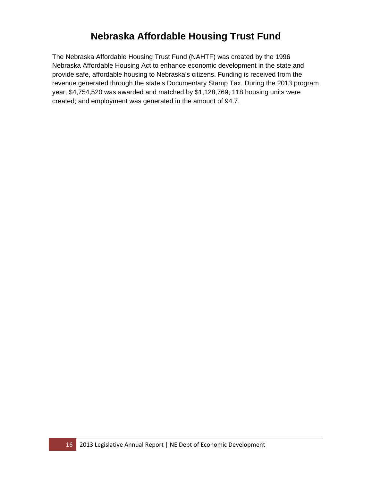## **Nebraska Affordable Housing Trust Fund**

The Nebraska Affordable Housing Trust Fund (NAHTF) was created by the 1996 Nebraska Affordable Housing Act to enhance economic development in the state and provide safe, affordable housing to Nebraska's citizens. Funding is received from the revenue generated through the state's Documentary Stamp Tax. During the 2013 program year, \$4,754,520 was awarded and matched by \$1,128,769; 118 housing units were created; and employment was generated in the amount of 94.7.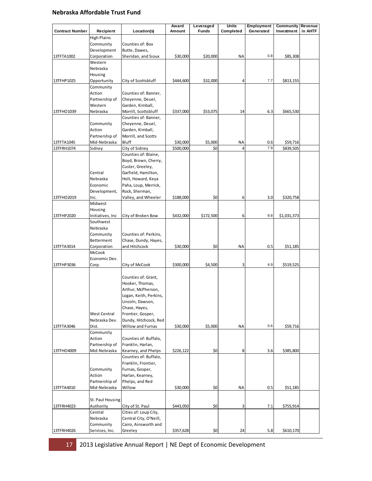#### **Nebraska Affordable Trust Fund**

|                          |                           |                                                | Award                 | Leveraged      | Units                | <b>Employment</b> | <b>Community Revenue</b> |         |
|--------------------------|---------------------------|------------------------------------------------|-----------------------|----------------|----------------------|-------------------|--------------------------|---------|
| <b>Contract Number</b>   | Recipient                 | Location(s)                                    | Amount                | <b>Funds</b>   | Completed            | Generated         | Investment               | in AHTF |
|                          | High Plains               |                                                |                       |                |                      |                   |                          |         |
|                          | Community                 | Counties of: Box                               |                       |                |                      |                   |                          |         |
|                          | Development               | Butte, Dawes,                                  |                       |                |                      | 0.8               |                          |         |
| 13TFTA1002               | Corporation<br>Western    | Sheridan, and Sioux                            | \$30,000              | \$20,000       | <b>NA</b>            |                   | \$85,308                 |         |
|                          | Nebraska                  |                                                |                       |                |                      |                   |                          |         |
|                          | Housing                   |                                                |                       |                |                      |                   |                          |         |
| 13TFHP1025               | Opportunity               | City of Scottsbluff                            | \$444,600             | \$32,000       | 4                    | 7.7               | \$813,155                |         |
|                          | Community                 |                                                |                       |                |                      |                   |                          |         |
|                          | Action                    | Counties of: Banner,                           |                       |                |                      |                   |                          |         |
|                          | Partnership of            | Cheyenne, Deuel,                               |                       |                |                      |                   |                          |         |
|                          | Western                   | Garden, Kimball,                               |                       |                |                      |                   |                          |         |
| 13TFHO1039               | Nebraska                  | Morrill, Scottsbluff                           | \$337,000             | \$53,075       | 14                   | 6.3               | \$665,530                |         |
|                          |                           | Counties of: Banner,                           |                       |                |                      |                   |                          |         |
|                          | Community                 | Cheyenne, Deuel,                               |                       |                |                      |                   |                          |         |
|                          | Action                    | Garden, Kimball,                               |                       |                |                      |                   |                          |         |
|                          | Partnership of            | Morrill, and Scotts                            |                       |                |                      |                   |                          |         |
| 13TFTA1045<br>13TFRH1074 | Mid-Nebraska              | <b>Bluff</b><br>City of Sidney                 | \$30,000<br>\$500,000 | \$5,000<br>\$0 | ΝA<br>$\overline{a}$ | 0.6<br>7.9        | \$59,716<br>\$839,505    |         |
|                          | Sidney                    | Counties of: Blaine,                           |                       |                |                      |                   |                          |         |
|                          |                           | Boyd, Brown, Cherry,                           |                       |                |                      |                   |                          |         |
|                          |                           | Custer, Greeley,                               |                       |                |                      |                   |                          |         |
|                          | Central                   | Garfield, Hamilton,                            |                       |                |                      |                   |                          |         |
|                          | Nebraska                  | Holt, Howard, Keya                             |                       |                |                      |                   |                          |         |
|                          | Economic                  | Paha, Loup, Merrick,                           |                       |                |                      |                   |                          |         |
|                          | Development,              | Rock, Sherman,                                 |                       |                |                      |                   |                          |         |
| 13TFHO2019               | Inc.                      | Valley, and Wheeler                            | \$188,000             | \$0            | 6                    | 3.0               | \$320,758                |         |
|                          | Midwest                   |                                                |                       |                |                      |                   |                          |         |
|                          | Housing                   |                                                |                       |                |                      |                   |                          |         |
| 13TFHP2020               | Initiatives, Inc          | City of Broken Bow                             | \$432,000             | \$172,500      | 6                    | 9.8               | \$1,031,373              |         |
|                          | Southwest                 |                                                |                       |                |                      |                   |                          |         |
|                          | Nebraska                  |                                                |                       |                |                      |                   |                          |         |
|                          | Community                 | Counties of: Perkins,                          |                       |                |                      |                   |                          |         |
| 13TFTA3014               | Betterment<br>Corporation | Chase, Dundy, Hayes,<br>and Hitchcock          | \$30,000              | \$0            | <b>NA</b>            | 0.5               | \$51,185                 |         |
|                          | McCook                    |                                                |                       |                |                      |                   |                          |         |
|                          | Economic Dev.             |                                                |                       |                |                      |                   |                          |         |
| 13TFHP3036               | Corp.                     | City of McCook                                 | \$300,000             | \$4,500        | 3                    | 4.9               | \$519,525                |         |
|                          |                           |                                                |                       |                |                      |                   |                          |         |
|                          |                           | Counties of: Grant,                            |                       |                |                      |                   |                          |         |
|                          |                           | Hooker, Thomas,                                |                       |                |                      |                   |                          |         |
|                          |                           | Arthur, McPherson,                             |                       |                |                      |                   |                          |         |
|                          |                           | Logan, Keith, Perkins,                         |                       |                |                      |                   |                          |         |
|                          |                           | Lincoln, Dawson,                               |                       |                |                      |                   |                          |         |
|                          |                           | Chase, Hayes,                                  |                       |                |                      |                   |                          |         |
|                          | West Central              | Frontier, Gosper,                              |                       |                |                      |                   |                          |         |
| 13TFTA3046               | Nebraska Dev.<br>Dist.    | Dundy, Hitchcock, Red<br>Willow and Furnas     | \$30,000              | \$5,000        | <b>NA</b>            | 0.6               |                          |         |
|                          | Community                 |                                                |                       |                |                      |                   | \$59,716                 |         |
|                          | Action                    | Counties of: Buffalo,                          |                       |                |                      |                   |                          |         |
|                          | Partnership of            | Franklin, Harlan,                              |                       |                |                      |                   |                          |         |
| 13TFHO4009               | Mid-Nebraska              | Kearney, and Phelps                            | \$226,122             | \$0            | 8                    | 3.6               | \$385,800                |         |
|                          |                           | Counties of: Buffalo,                          |                       |                |                      |                   |                          |         |
|                          |                           | Franklin, Frontier,                            |                       |                |                      |                   |                          |         |
|                          | Community                 | Furnas, Gosper,                                |                       |                |                      |                   |                          |         |
|                          | Action                    | Harlan, Kearney,                               |                       |                |                      |                   |                          |         |
|                          | Partnership of            | Phelps, and Red                                |                       |                |                      |                   |                          |         |
| 13TFTA4010               | Mid-Nebraska              | Willow                                         | \$30,000              | \$0            | <b>NA</b>            | 0.5               | \$51,185                 |         |
|                          |                           |                                                |                       |                |                      |                   |                          |         |
|                          | St. Paul Housing          |                                                |                       |                |                      |                   |                          |         |
| 13TFRH4023               | Authority                 | City of St. Paul                               | \$443,050             | \$0            | 3                    | 7.1               | \$755,914                |         |
|                          | Central<br>Nebraska       | Cities of: Loup City,                          |                       |                |                      |                   |                          |         |
|                          | Community                 | Central City, O'Neill,<br>Cairo, Ainsworth and |                       |                |                      |                   |                          |         |
| 13TFRH4026               | Services, Inc.            | Greeley                                        | \$357,628             | \$0            | 24                   | 5.8               | \$610,170                |         |
|                          |                           |                                                |                       |                |                      |                   |                          |         |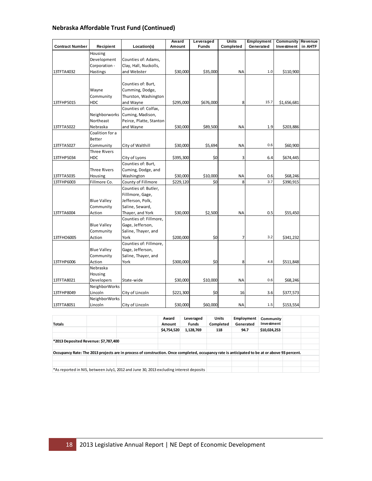#### **Nebraska Affordable Trust Fund (Continued)**

|                        |                     |                         | Award     | Leveraged    | <b>Units</b> | Employment | Community   | Revenue |
|------------------------|---------------------|-------------------------|-----------|--------------|--------------|------------|-------------|---------|
| <b>Contract Number</b> | Recipient           | Location(s)             | Amount    | <b>Funds</b> | Completed    | Generated  | Investment  | in AHTF |
|                        | Housing             |                         |           |              |              |            |             |         |
|                        | Development         | Counties of: Adams,     |           |              |              |            |             |         |
|                        | Corporation -       | Clay, Hall, Nuckolls,   |           |              |              |            |             |         |
| 13TFTA4032             | Hastings            | and Webster             | \$30,000  | \$35,000     | <b>NA</b>    | 1.0        | \$110,900   |         |
|                        |                     |                         |           |              |              |            |             |         |
|                        |                     | Counties of: Burt,      |           |              |              |            |             |         |
|                        | Wayne               | Cumming, Dodge,         |           |              |              |            |             |         |
|                        | Community           | Thurston, Washington    |           |              |              |            |             |         |
| 13TFHP5015             | <b>HDC</b>          | and Wayne               | \$295,000 | \$676,000    | 8            | 15.7       | \$1,656,681 |         |
|                        |                     | Counties of: Colfax,    |           |              |              |            |             |         |
|                        | Neighborworks       | Cuming, Madison,        |           |              |              |            |             |         |
|                        | Northeast           | Peirce, Platte, Stanton |           |              |              |            |             |         |
| 13TFTA5022             | Nebraska            | and Wayne               | \$30,000  | \$89,500     | <b>NA</b>    | 1.9        | \$203,886   |         |
|                        | Coalition for a     |                         |           |              |              |            |             |         |
|                        | Better              |                         |           |              |              |            |             |         |
| 13TFTA5027             | Community           | City of Walthill        | \$30,000  | \$5,694      | <b>NA</b>    | 0.6        | \$60,900    |         |
|                        | <b>Three Rivers</b> |                         |           |              |              |            |             |         |
| 13TFHP5034             | HDC                 | City of Lyons           | \$395,300 | \$0          | 3            | 6.4        | \$674,445   |         |
|                        |                     | Counties of: Burt,      |           |              |              |            |             |         |
|                        | <b>Three Rivers</b> | Cuming, Dodge, and      |           |              |              |            |             |         |
| 13TFTA5035             | Housing             | Washington              | \$30,000  | \$10,000     | <b>NA</b>    | 0.6        | \$68,246    |         |
| 13TFHP6003             | Fillmore Co.        | County of Fillmore      | \$229,120 | \$0          | 8            | 3.7        | \$390,915   |         |
|                        |                     | Counties of: Butler,    |           |              |              |            |             |         |
|                        |                     | Filllmore, Gage,        |           |              |              |            |             |         |
|                        | <b>Blue Valley</b>  | Jefferson, Polk,        |           |              |              |            |             |         |
|                        | Community           | Saline, Seward,         |           |              |              |            |             |         |
| 13TFTA6004             | Action              | Thayer, and York        | \$30,000  | \$2,500      | <b>NA</b>    | 0.5        | \$55,450    |         |
|                        |                     | Counties of: Fillmore,  |           |              |              |            |             |         |
|                        | <b>Blue Valley</b>  | Gage, Jefferson,        |           |              |              |            |             |         |
|                        | Community           | Saline, Thayer, and     |           |              |              |            |             |         |
| 13TFHO6005             | Action              | York                    | \$200,000 | \$0          |              | 3.2        | \$341,232   |         |
|                        |                     | Counties of: Fillmore,  |           |              |              |            |             |         |
|                        | <b>Blue Valley</b>  | Gage, Jefferson,        |           |              |              |            |             |         |
|                        | Community           | Saline, Thayer, and     |           |              |              |            |             |         |
| 13TFHP6006             | Action              | York                    | \$300,000 | \$0          | 8            | 4.8        | \$511,848   |         |
|                        | Nebraska            |                         |           |              |              |            |             |         |
|                        | Housing             |                         |           |              |              |            |             |         |
| 13TFTA8021             | Developers          | State-wide              | \$30,000  | \$10,000     | NA           | 0.6        | \$68,246    |         |
|                        | NeighborWorks       |                         |           |              |              |            |             |         |
| 13TFHP8049             | Lincoln             | City of Lincoln         | \$221,300 | \$0          | 16           | 3.6        | \$377,573   |         |
|                        | NeighborWorks       |                         |           |              |              |            |             |         |
| 13TFTA8051             | Lincoln             | City of Lincoln         | \$30,000  | \$60,000     | ΝA           | 1.5        | \$153,554   |         |

| <b>Totals</b>                                                                                                                                 |  |  | Award<br>Amount<br>\$4,754,520 | Leveraged<br><b>Funds</b><br>1,128,769 | <b>Units</b><br>Completed<br>118 | <b>Employment</b><br>Generated<br>94.7 | Community<br>Investment<br>\$10,024,253 |  |  |
|-----------------------------------------------------------------------------------------------------------------------------------------------|--|--|--------------------------------|----------------------------------------|----------------------------------|----------------------------------------|-----------------------------------------|--|--|
|                                                                                                                                               |  |  |                                |                                        |                                  |                                        |                                         |  |  |
| *2013 Deposited Revenue: \$7,787,400                                                                                                          |  |  |                                |                                        |                                  |                                        |                                         |  |  |
|                                                                                                                                               |  |  |                                |                                        |                                  |                                        |                                         |  |  |
| Occupancy Rate: The 2013 projects are in process of construction. Once completed, occupancy rate is anticipated to be at or above 93 percent. |  |  |                                |                                        |                                  |                                        |                                         |  |  |
|                                                                                                                                               |  |  |                                |                                        |                                  |                                        |                                         |  |  |
|                                                                                                                                               |  |  |                                |                                        |                                  |                                        |                                         |  |  |
| *As reported in NIS, between July1, 2012 and June 30, 2013 excluding interest deposits                                                        |  |  |                                |                                        |                                  |                                        |                                         |  |  |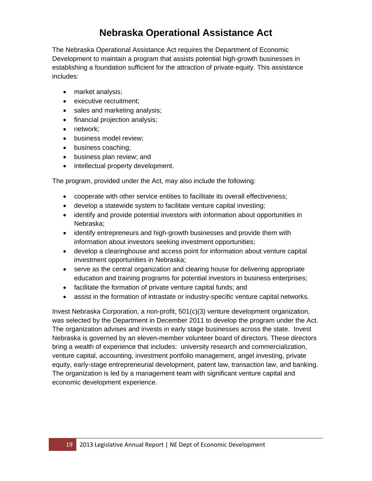# **Nebraska Operational Assistance Act**

The Nebraska Operational Assistance Act requires the Department of Economic Development to maintain a program that assists potential high-growth businesses in establishing a foundation sufficient for the attraction of private equity. This assistance includes:

- market analysis;
- executive recruitment:
- sales and marketing analysis;
- financial projection analysis;
- network;
- **•** business model review;
- business coaching;
- business plan review; and
- intellectual property development.

The program, provided under the Act, may also include the following:

- cooperate with other service entities to facilitate its overall effectiveness;
- develop a statewide system to facilitate venture capital investing;
- identify and provide potential investors with information about opportunities in Nebraska;
- identify entrepreneurs and high-growth businesses and provide them with information about investors seeking investment opportunities;
- develop a clearinghouse and access point for information about venture capital investment opportunities in Nebraska;
- serve as the central organization and clearing house for delivering appropriate education and training programs for potential investors in business enterprises;
- facilitate the formation of private venture capital funds; and
- assist in the formation of intrastate or industry-specific venture capital networks.

Invest Nebraska Corporation, a non-profit, 501(c)(3) venture development organization, was selected by the Department in December 2011 to develop the program under the Act. The organization advises and invests in early stage businesses across the state. Invest Nebraska is governed by an eleven-member volunteer board of directors. These directors bring a wealth of experience that includes: university research and commercialization, venture capital, accounting, investment portfolio management, angel investing, private equity, early-stage entrepreneurial development, patent law, transaction law, and banking. The organization is led by a management team with significant venture capital and economic development experience.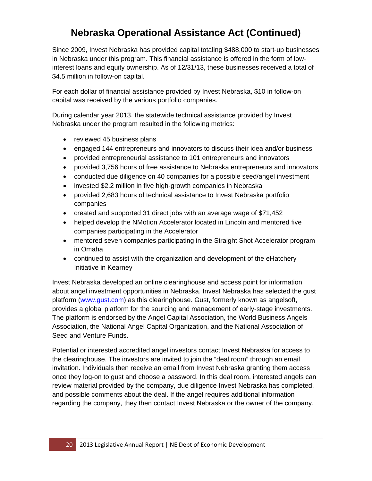# **Nebraska Operational Assistance Act (Continued)**

Since 2009, Invest Nebraska has provided capital totaling \$488,000 to start-up businesses in Nebraska under this program. This financial assistance is offered in the form of lowinterest loans and equity ownership. As of 12/31/13, these businesses received a total of \$4.5 million in follow-on capital.

For each dollar of financial assistance provided by Invest Nebraska, \$10 in follow-on capital was received by the various portfolio companies.

During calendar year 2013, the statewide technical assistance provided by Invest Nebraska under the program resulted in the following metrics:

- reviewed 45 business plans
- engaged 144 entrepreneurs and innovators to discuss their idea and/or business
- provided entrepreneurial assistance to 101 entrepreneurs and innovators
- provided 3,756 hours of free assistance to Nebraska entrepreneurs and innovators
- conducted due diligence on 40 companies for a possible seed/angel investment
- invested \$2.2 million in five high-growth companies in Nebraska
- provided 2,683 hours of technical assistance to Invest Nebraska portfolio companies
- created and supported 31 direct jobs with an average wage of \$71,452
- helped develop the NMotion Accelerator located in Lincoln and mentored five companies participating in the Accelerator
- mentored seven companies participating in the Straight Shot Accelerator program in Omaha
- continued to assist with the organization and development of the eHatchery Initiative in Kearney

Invest Nebraska developed an online clearinghouse and access point for information about angel investment opportunities in Nebraska. Invest Nebraska has selected the gust platform (www.gust.com) as this clearinghouse. Gust, formerly known as angelsoft, provides a global platform for the sourcing and management of early-stage investments. The platform is endorsed by the Angel Capital Association, the World Business Angels Association, the National Angel Capital Organization, and the National Association of Seed and Venture Funds.

Potential or interested accredited angel investors contact Invest Nebraska for access to the clearinghouse. The investors are invited to join the "deal room" through an email invitation. Individuals then receive an email from Invest Nebraska granting them access once they log-on to gust and choose a password. In this deal room, interested angels can review material provided by the company, due diligence Invest Nebraska has completed, and possible comments about the deal. If the angel requires additional information regarding the company, they then contact Invest Nebraska or the owner of the company.